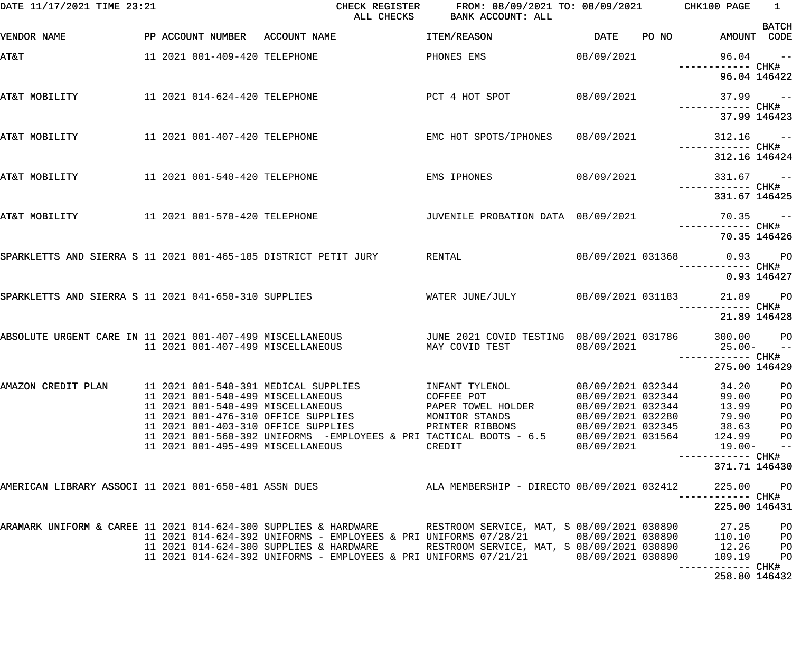| DATE 11/17/2021 TIME 23:21 |  |                               | CHECK REGISTER<br>ALL CHECKS                                                                                                  | FROM: 08/09/2021 TO: 08/09/2021 CHK100 PAGE<br>BANK ACCOUNT: ALL      |                   |       |                                                 | $\overline{1}$<br><b>BATCH</b> |
|----------------------------|--|-------------------------------|-------------------------------------------------------------------------------------------------------------------------------|-----------------------------------------------------------------------|-------------------|-------|-------------------------------------------------|--------------------------------|
| VENDOR NAME                |  |                               | PP ACCOUNT NUMBER ACCOUNT NAME                                                                                                | <b>ITEM/REASON</b>                                                    | DATE              | PO NO | AMOUNT CODE                                     |                                |
| <b>AT&amp;T</b>            |  | 11 2021 001-409-420 TELEPHONE |                                                                                                                               | PHONES EMS                                                            | 08/09/2021        |       | $96.04 -$                                       |                                |
|                            |  |                               |                                                                                                                               |                                                                       |                   |       | 96.04 146422                                    |                                |
| AT&T MOBILITY              |  |                               | 11 2021 014-624-420 TELEPHONE                                                                                                 | PCT 4 HOT SPOT                                                        | 08/09/2021        |       | $37.99 - -$                                     |                                |
|                            |  |                               |                                                                                                                               |                                                                       |                   |       | 37.99 146423                                    |                                |
| AT&T MOBILITY              |  | 11 2021 001-407-420 TELEPHONE |                                                                                                                               | EMC HOT SPOTS/IPHONES                                                 | 08/09/2021        |       | $312.16 - -$                                    |                                |
|                            |  |                               |                                                                                                                               |                                                                       |                   |       | ------------ CHK#<br>312.16 146424              |                                |
| AT&T MOBILITY              |  | 11 2021 001-540-420 TELEPHONE |                                                                                                                               | EMS IPHONES                                                           | 08/09/2021        |       | $331.67 -$                                      |                                |
|                            |  |                               |                                                                                                                               |                                                                       |                   |       | 331.67 146425                                   |                                |
| AT&T MOBILITY              |  | 11 2021 001-570-420 TELEPHONE |                                                                                                                               | JUVENILE PROBATION DATA 08/09/2021                                    |                   |       | $70.35 -$                                       |                                |
|                            |  |                               |                                                                                                                               |                                                                       |                   |       | 70.35 146426                                    |                                |
|                            |  |                               | SPARKLETTS AND SIERRA S 11 2021 001-465-185 DISTRICT PETIT JURY                                                               | RENTAL                                                                |                   |       | 08/09/2021 031368 0.93 PO                       |                                |
|                            |  |                               |                                                                                                                               |                                                                       |                   |       |                                                 | 0.93 146427                    |
|                            |  |                               | SPARKLETTS AND SIERRA S 11 2021 041-650-310 SUPPLIES                                                                          | WATER JUNE/JULY                                                       |                   |       | 08/09/2021 031183 21.89 PO<br>------------ CHK# |                                |
|                            |  |                               |                                                                                                                               |                                                                       |                   |       | 21.89 146428                                    |                                |
|                            |  |                               | ABSOLUTE URGENT CARE IN 11 2021 001-407-499 MISCELLANEOUS<br>11  2021  001-407-499  MISCELLANEOUS                             | JUNE 2021 COVID TESTING 08/09/2021 031786 300.00 PO<br>MAY COVID TEST | 08/09/2021        |       | $25.00 - -$                                     |                                |
|                            |  |                               |                                                                                                                               |                                                                       |                   |       | ------------ CHK#<br>275.00 146429              |                                |
| AMAZON CREDIT PLAN         |  |                               | 11 2021 001-540-391 MEDICAL SUPPLIES                                                                                          | INFANT TYLENOL                                                        | 08/09/2021 032344 |       | 34.20                                           | PO                             |
|                            |  |                               | 11  2021  001-540-499  MISCELLANEOUS                                                                                          | COFFEE POT                                                            | 08/09/2021 032344 |       | 99.00                                           | PO                             |
|                            |  |                               | 11 2021 001-540-499 MISCELLANEOUS                                                                                             | PAPER TOWEL HOLDER                                                    | 08/09/2021 032344 |       | 13.99                                           | PO                             |
|                            |  |                               | 11 2021 001-476-310 OFFICE SUPPLIES<br>11 2021 001-403-310 OFFICE SUPPLIES                                                    | MONITOR STANDS<br>PRINTER RIBBONS 08/09/2021 032345                   | 08/09/2021 032280 |       | 79.90<br>38.63                                  | PO<br>PO                       |
|                            |  |                               | 11 2021 001-560-392 UNIFORMS -EMPLOYEES & PRI TACTICAL BOOTS - 6.5                                                            |                                                                       | 08/09/2021 031564 |       | 124.99                                          | P <sub>O</sub>                 |
|                            |  |                               | 11 2021 001-495-499 MISCELLANEOUS                                                                                             | CREDIT                                                                | 08/09/2021        |       | 19.00-                                          | $ -$                           |
|                            |  |                               |                                                                                                                               |                                                                       |                   |       | 371.71 146430                                   |                                |
|                            |  |                               | AMERICAN LIBRARY ASSOCI 11 2021 001-650-481 ASSN DUES ALA MEMBERSHIP - DIRECTO 08/09/2021 032412                              |                                                                       |                   |       | 225.00 PO                                       |                                |
|                            |  |                               |                                                                                                                               |                                                                       |                   |       | 225.00 146431                                   |                                |
|                            |  |                               | ARAMARK UNIFORM & CAREE 11 2021 014-624-300 SUPPLIES & HARDWARE       RESTROOM SERVICE, MAT, S 08/09/2021 030890      27.25   |                                                                       |                   |       |                                                 | P <sub>O</sub>                 |
|                            |  |                               | 11 2021 014-624-392 UNIFORMS - EMPLOYEES & PRI UNIFORMS 07/28/21 08/09/2021 030890<br>11 2021 014-624-300 SUPPLIES & HARDWARE | RESTROOM SERVICE, MAT, S 08/09/2021 030890                            |                   |       | 110.10<br>12.26                                 | PО<br>PО                       |
|                            |  |                               | 11 2021 014-624-392 UNIFORMS - EMPLOYEES & PRI UNIFORMS 07/21/21 08/09/2021 030890                                            |                                                                       |                   |       | 109.19                                          | P <sub>O</sub>                 |
|                            |  |                               |                                                                                                                               |                                                                       |                   |       | 258.80 146432                                   |                                |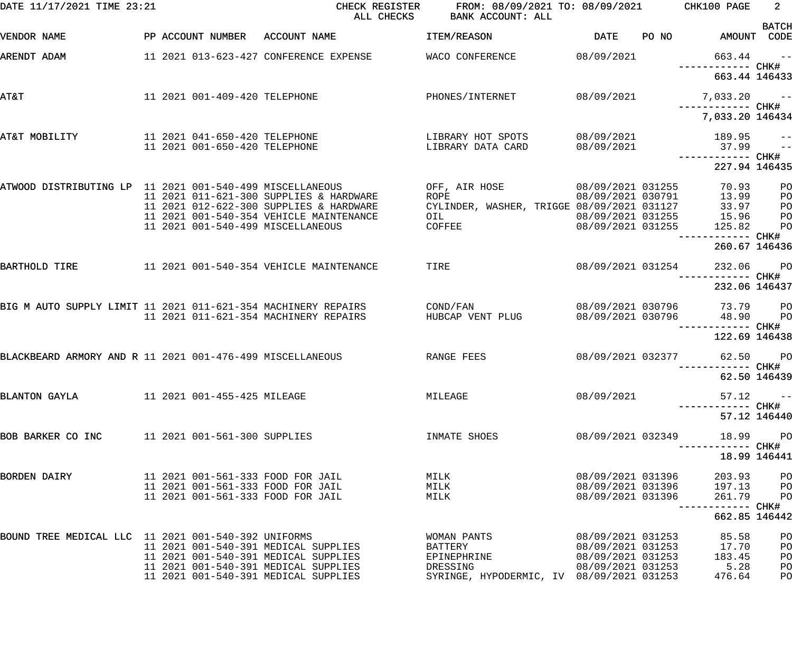| DATE 11/17/2021 TIME 23:21                                    |                                                                   | CHECK REGISTER<br>ALL CHECKS                                                       | FROM: 08/09/2021 TO: 08/09/2021 CHK100 PAGE<br>BANK ACCOUNT: ALL                                                                                            |                                        |       |                                    | $2^{\circ}$              |
|---------------------------------------------------------------|-------------------------------------------------------------------|------------------------------------------------------------------------------------|-------------------------------------------------------------------------------------------------------------------------------------------------------------|----------------------------------------|-------|------------------------------------|--------------------------|
| VENDOR NAME                                                   |                                                                   | PP ACCOUNT NUMBER ACCOUNT NAME                                                     | ITEM/REASON                                                                                                                                                 | DATE                                   | PO NO | AMOUNT CODE                        | <b>BATCH</b>             |
| ARENDT ADAM                                                   |                                                                   | 11  2021  013-623-427  CONFERENCE EXPENSE                                          | WACO CONFERENCE                                                                                                                                             | 08/09/2021                             |       | 663.44                             | $\sim$ $-$               |
|                                                               |                                                                   |                                                                                    |                                                                                                                                                             |                                        |       | 663.44 146433                      |                          |
| AT&T                                                          | 11  2021  001-409-420  TELEPHONE                                  |                                                                                    | PHONES / INTERNET                                                                                                                                           | 08/09/2021                             |       | $7,033.20$ --                      |                          |
|                                                               |                                                                   |                                                                                    |                                                                                                                                                             |                                        |       | 7,033.20 146434                    |                          |
| AT&T MOBILITY                                                 | 11  2021  041-650-420  TELEPHONE<br>11 2021 001-650-420 TELEPHONE |                                                                                    | LIBRARY HOT SPOTS<br>LIBRARY DATA CARD                                                                                                                      | 08/09/2021<br>08/09/2021               |       | 189.95<br>37.99                    | $\sim$ $-$<br>$\sim$ $-$ |
|                                                               |                                                                   |                                                                                    |                                                                                                                                                             |                                        |       | 227.94 146435                      |                          |
| ATWOOD DISTRIBUTING LP 11 2021 001-540-499 MISCELLANEOUS      |                                                                   |                                                                                    | OFF, AIR HOSE                                                                                                                                               | 08/09/2021 031255                      |       | 70.93                              | PO                       |
|                                                               |                                                                   | 11 2021 011-621-300 SUPPLIES & HARDWARE                                            |                                                                                                                                                             |                                        |       |                                    | PO                       |
|                                                               |                                                                   | 11 2021 012-622-300 SUPPLIES & HARDWARE<br>11 2021 001-540-354 VEHICLE MAINTENANCE |                                                                                                                                                             |                                        |       |                                    | P <sub>O</sub><br>PO     |
|                                                               |                                                                   | 11 2021 001-540-499 MISCELLANEOUS                                                  | ROPE<br>CYLINDER, WASHER, TRIGGE 08/09/2021 030791<br>OIL 08/09/2021 031127 33.97<br>OIL 08/09/2021 031255 15.96<br>COFFEE 08/09/2021 031255 15.96<br>25.82 |                                        |       | ------------ CHK#                  | PO                       |
|                                                               |                                                                   |                                                                                    |                                                                                                                                                             |                                        |       | 260.67 146436                      |                          |
| BARTHOLD TIRE                                                 |                                                                   | 11 2021 001-540-354 VEHICLE MAINTENANCE                                            | TIRE                                                                                                                                                        | 08/09/2021 031254                      |       | 232.06<br>------------ CHK#        | <b>PO</b>                |
|                                                               |                                                                   |                                                                                    |                                                                                                                                                             |                                        |       | 232.06 146437                      |                          |
| BIG M AUTO SUPPLY LIMIT 11 2021 011-621-354 MACHINERY REPAIRS |                                                                   | 11 2021 011-621-354 MACHINERY REPAIRS                                              | COND/FAN<br>HUBCAP VENT PLUG                                                                                                                                | 08/09/2021 030796<br>08/09/2021 030796 |       | 73.79 PO<br>48.90                  | $P$ O                    |
|                                                               |                                                                   |                                                                                    |                                                                                                                                                             |                                        |       | ------------ CHK#<br>122.69 146438 |                          |
| BLACKBEARD ARMORY AND R 11 2021 001-476-499 MISCELLANEOUS     |                                                                   |                                                                                    | RANGE FEES                                                                                                                                                  | 08/09/2021 032377                      |       | 62.50 PO                           |                          |
|                                                               |                                                                   |                                                                                    |                                                                                                                                                             |                                        |       | 62.50 146439                       |                          |
| BLANTON GAYLA                                                 | 11   2021   001-455-425   MILEAGE                                 |                                                                                    | MILEAGE                                                                                                                                                     | 08/09/2021                             |       | 57.12<br>------------ CHK#         | $\sim$ $ -$              |
|                                                               |                                                                   |                                                                                    |                                                                                                                                                             |                                        |       |                                    | 57.12 146440             |
| BOB BARKER CO INC                                             | 11 2021 001-561-300 SUPPLIES                                      |                                                                                    | INMATE SHOES                                                                                                                                                | 08/09/2021 032349                      |       | 18.99                              | $P$ O                    |
|                                                               |                                                                   |                                                                                    |                                                                                                                                                             |                                        |       | 18.99 146441                       |                          |
| BORDEN DAIRY                                                  |                                                                   | 11 2021 001-561-333 FOOD FOR JAIL                                                  | MILK                                                                                                                                                        | 08/09/2021 031396                      |       | 203.93                             | P <sub>O</sub>           |
|                                                               |                                                                   | 11 2021 001-561-333 FOOD FOR JAIL<br>11 2021 001-561-333 FOOD FOR JAIL             | MILK                                                                                                                                                        | 08/09/2021 031396<br>08/09/2021 031396 |       | 197.13                             | $P$ O                    |
|                                                               |                                                                   |                                                                                    | MILK                                                                                                                                                        |                                        |       | 261.79<br>----------- CHK#         | P <sub>O</sub>           |
|                                                               |                                                                   |                                                                                    |                                                                                                                                                             |                                        |       | 662.85 146442                      |                          |
| BOUND TREE MEDICAL LLC 11 2021 001-540-392 UNIFORMS           |                                                                   |                                                                                    | WOMAN PANTS                                                                                                                                                 | 08/09/2021 031253                      |       | 85.58                              | PO                       |
|                                                               |                                                                   | 11 2021 001-540-391 MEDICAL SUPPLIES<br>11 2021 001-540-391 MEDICAL SUPPLIES       | BATTERY<br>EPINEPHRINE                                                                                                                                      | 08/09/2021 031253<br>08/09/2021 031253 |       | 17.70<br>183.45                    | PO<br>PO                 |
|                                                               |                                                                   | 11 2021 001-540-391 MEDICAL SUPPLIES                                               | DRESSING                                                                                                                                                    | 08/09/2021 031253                      |       | 5.28                               | PO                       |
|                                                               |                                                                   | 11 2021 001-540-391 MEDICAL SUPPLIES                                               | SYRINGE, HYPODERMIC, IV 08/09/2021 031253                                                                                                                   |                                        |       | 476.64                             | PO                       |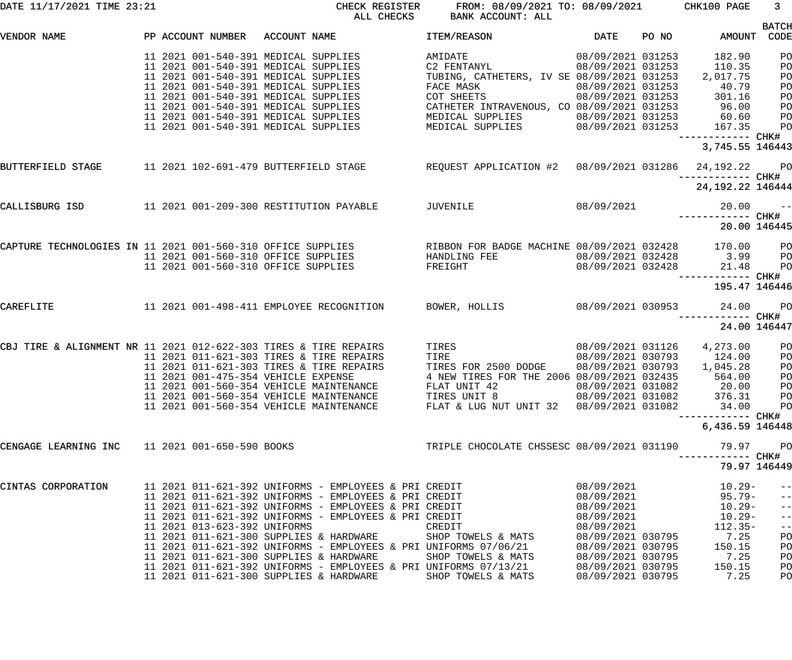| DATE 11/17/2021 TIME 23:21                                       |  |                                          |              | CHECK REGISTER<br>ALL CHECKS                                     | FROM: 08/09/2021 TO: 08/09/2021 CHK100 PAGE<br>BANK ACCOUNT: ALL |                   |       |                                         | 3 <sup>7</sup>    |
|------------------------------------------------------------------|--|------------------------------------------|--------------|------------------------------------------------------------------|------------------------------------------------------------------|-------------------|-------|-----------------------------------------|-------------------|
|                                                                  |  |                                          |              |                                                                  |                                                                  |                   |       |                                         | <b>BATCH</b>      |
| VENDOR NAME                                                      |  | PP ACCOUNT NUMBER                        | ACCOUNT NAME |                                                                  | ITEM/REASON                                                      | <b>DATE</b>       | PO NO | AMOUNT                                  | CODE              |
|                                                                  |  | 11 2021 001-540-391 MEDICAL SUPPLIES     |              |                                                                  | AMIDATE                                                          | 08/09/2021 031253 |       | 182.90                                  | PO                |
|                                                                  |  | 11 2021 001-540-391 MEDICAL SUPPLIES     |              |                                                                  | C2 FENTANYL                                                      | 08/09/2021 031253 |       | 110.35                                  | PO                |
|                                                                  |  | 11 2021 001-540-391 MEDICAL SUPPLIES     |              |                                                                  | TUBING, CATHETERS, IV SE 08/09/2021 031253                       |                   |       | 2,017.75                                | PO                |
|                                                                  |  | 11 2021 001-540-391 MEDICAL SUPPLIES     |              |                                                                  | FACE MASK                                                        | 08/09/2021 031253 |       | 40.79                                   | PO                |
|                                                                  |  | 11 2021 001-540-391 MEDICAL SUPPLIES     |              |                                                                  | COT SHEETS                                                       | 08/09/2021 031253 |       | 301.16                                  | PO                |
|                                                                  |  | 11 2021 001-540-391 MEDICAL SUPPLIES     |              |                                                                  | CATHETER INTRAVENOUS, CO 08/09/2021 031253                       |                   |       | 96.00                                   | PO                |
|                                                                  |  | 11 2021 001-540-391 MEDICAL SUPPLIES     |              |                                                                  | MEDICAL SUPPLIES                                                 | 08/09/2021 031253 |       | 60.60                                   | PO                |
|                                                                  |  | 11 2021 001-540-391 MEDICAL SUPPLIES     |              |                                                                  | MEDICAL SUPPLIES 08/09/2021 031253                               |                   |       | 167.35                                  | PO                |
|                                                                  |  |                                          |              |                                                                  |                                                                  |                   |       | ------------ CHK#                       |                   |
|                                                                  |  |                                          |              |                                                                  |                                                                  |                   |       | 3,745.55 146443                         |                   |
| BUTTERFIELD STAGE                                                |  | 11  2021  102-691-479  BUTTERFIELD STAGE |              |                                                                  | REQUEST APPLICATION #2  08/09/2021 031286                        |                   |       | 24,192.22                               | <b>PO</b>         |
|                                                                  |  |                                          |              |                                                                  |                                                                  |                   |       | ------------ CHK#<br>24, 192. 22 146444 |                   |
| CALLISBURG ISD                                                   |  |                                          |              | 11 2021 001-209-300 RESTITUTION PAYABLE                          | JUVENILE                                                         | 08/09/2021        |       | 20.00                                   | $\sim$ $ -$       |
|                                                                  |  |                                          |              |                                                                  |                                                                  |                   |       |                                         |                   |
|                                                                  |  |                                          |              |                                                                  |                                                                  |                   |       | 20.00 146445                            |                   |
| CAPTURE TECHNOLOGIES IN 11 2021 001-560-310 OFFICE SUPPLIES      |  |                                          |              |                                                                  | RIBBON FOR BADGE MACHINE 08/09/2021 032428                       |                   |       | 170.00                                  | P <sub>O</sub>    |
|                                                                  |  | 11 2021 001-560-310 OFFICE SUPPLIES      |              |                                                                  | HANDLING FEE                                                     | 08/09/2021 032428 |       | 3.99                                    | PO                |
|                                                                  |  | 11 2021 001-560-310 OFFICE SUPPLIES      |              |                                                                  | FREIGHT                                                          | 08/09/2021 032428 |       | 21.48                                   | PO                |
|                                                                  |  |                                          |              |                                                                  |                                                                  |                   |       | ------------ CHK#                       |                   |
|                                                                  |  |                                          |              |                                                                  |                                                                  |                   |       | 195.47 146446                           |                   |
| CAREFLITE                                                        |  |                                          |              | 11 2021 001-498-411 EMPLOYEE RECOGNITION                         | BOWER, HOLLIS                                                    | 08/09/2021 030953 |       | 24.00<br>------------ CHK#              | $P$ O             |
|                                                                  |  |                                          |              |                                                                  |                                                                  |                   |       |                                         | 24.00 146447      |
| CBJ TIRE & ALIGNMENT NR 11 2021 012-622-303 TIRES & TIRE REPAIRS |  |                                          |              |                                                                  | TIRES                                                            | 08/09/2021 031126 |       | 4,273.00                                | PO                |
|                                                                  |  |                                          |              | 11 2021 011-621-303 TIRES & TIRE REPAIRS                         | TIRE                                                             | 08/09/2021 030793 |       | 124.00                                  | PO                |
|                                                                  |  |                                          |              | 11 2021 011-621-303 TIRES & TIRE REPAIRS                         | TIRES FOR 2500 DODGE                                             | 08/09/2021 030793 |       | 1,045.28                                | PO                |
|                                                                  |  | 11 2021 001-475-354 VEHICLE EXPENSE      |              |                                                                  | 4 NEW TIRES FOR THE 2006 08/09/2021 032435                       |                   |       | 564.00                                  | P <sub>O</sub>    |
|                                                                  |  |                                          |              | 11 2021 001-560-354 VEHICLE MAINTENANCE                          | FLAT UNIT 42                                                     | 08/09/2021 031082 |       | 20.00                                   | PO                |
|                                                                  |  |                                          |              | 11 2021 001-560-354 VEHICLE MAINTENANCE                          | TIRES UNIT 8                                                     | 08/09/2021 031082 |       | 376.31                                  | PO                |
|                                                                  |  |                                          |              | 11 2021 001-560-354 VEHICLE MAINTENANCE                          | FLAT & LUG NUT UNIT 32                                           | 08/09/2021 031082 |       | 34.00                                   | PO                |
|                                                                  |  |                                          |              |                                                                  |                                                                  |                   |       |                                         |                   |
|                                                                  |  |                                          |              |                                                                  |                                                                  |                   |       | 6,436.59 146448                         |                   |
| CENGAGE LEARNING INC                                             |  | 11 2021 001-650-590 BOOKS                |              |                                                                  | TRIPLE CHOCOLATE CHSSESC 08/09/2021 031190                       |                   |       | 79.97                                   | PO                |
|                                                                  |  |                                          |              |                                                                  |                                                                  |                   |       | 79.97 146449                            |                   |
| CINTAS CORPORATION                                               |  |                                          |              | 11 2021 011-621-392 UNIFORMS - EMPLOYEES & PRI CREDIT            |                                                                  | 08/09/2021        |       | $10.29 -$                               | $ -$              |
|                                                                  |  |                                          |              | 11 2021 011-621-392 UNIFORMS - EMPLOYEES & PRI CREDIT            |                                                                  | 08/09/2021        |       | 95.79-                                  | $\qquad \qquad -$ |
|                                                                  |  |                                          |              | 11 2021 011-621-392 UNIFORMS - EMPLOYEES & PRI CREDIT            |                                                                  | 08/09/2021        |       | $10.29 -$                               | $\qquad \qquad -$ |
|                                                                  |  |                                          |              | 11 2021 011-621-392 UNIFORMS - EMPLOYEES & PRI CREDIT            |                                                                  | 08/09/2021        |       | $10.29-$                                | $\qquad \qquad -$ |
|                                                                  |  | 11 2021 013-623-392 UNIFORMS             |              |                                                                  | CREDIT                                                           | 08/09/2021        |       | $112.35-$                               | $- -$             |
|                                                                  |  |                                          |              | 11 2021 011-621-300 SUPPLIES & HARDWARE                          | SHOP TOWELS & MATS                                               | 08/09/2021 030795 |       | 7.25                                    | PO                |
|                                                                  |  |                                          |              | 11 2021 011-621-392 UNIFORMS - EMPLOYEES & PRI UNIFORMS 07/06/21 |                                                                  | 08/09/2021 030795 |       | 150.15                                  | PO                |
|                                                                  |  |                                          |              | 11 2021 011-621-300 SUPPLIES & HARDWARE                          | SHOP TOWELS & MATS                                               | 08/09/2021 030795 |       | 7.25                                    | PO                |
|                                                                  |  |                                          |              | 11 2021 011-621-392 UNIFORMS - EMPLOYEES & PRI UNIFORMS 07/13/21 |                                                                  | 08/09/2021 030795 |       | 150.15                                  | PO                |
|                                                                  |  |                                          |              | 11 2021 011-621-300 SUPPLIES & HARDWARE                          | SHOP TOWELS & MATS                                               | 08/09/2021 030795 |       | 7.25                                    | PO                |
|                                                                  |  |                                          |              |                                                                  |                                                                  |                   |       |                                         |                   |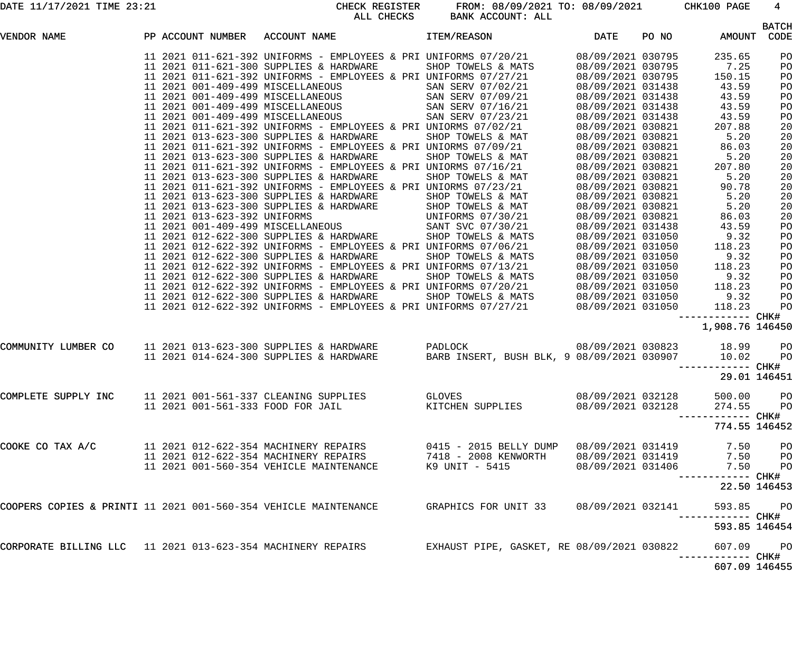DATE 11/17/2021 TIME 23:21 CHECK REGISTER FROM: 08/09/2021 TO: 08/09/2021 CHK100 PAGE 4 BANK ACCOUNT: ALL

|                                                                 |  |                   |                                                                                                                                                                                       |                                            |                   |       |                              | <b>BATCH</b>    |
|-----------------------------------------------------------------|--|-------------------|---------------------------------------------------------------------------------------------------------------------------------------------------------------------------------------|--------------------------------------------|-------------------|-------|------------------------------|-----------------|
| VENDOR NAME                                                     |  | PP ACCOUNT NUMBER | ACCOUNT NAME                                                                                                                                                                          | ITEM/REASON                                | <b>DATE</b>       | PO NO | AMOUNT                       | CODE            |
|                                                                 |  |                   |                                                                                                                                                                                       |                                            | 08/09/2021 030795 |       | 235.65                       | PO              |
|                                                                 |  |                   | 11 2021 011-621-300 SUPPLIES & HARDWARE                                                                                                                                               | SHOP TOWELS & MATS                         | 08/09/2021 030795 |       | 7.25                         | PO              |
|                                                                 |  |                   | 11 2021 011-621-392 UNIFORMS - EMPLOYEES & PRI UNIFORMS 07/27/21                                                                                                                      |                                            | 08/09/2021 030795 |       | 150.15                       | PO              |
|                                                                 |  |                   | 11 2021 001-409-499 MISCELLANEOUS<br>11 2021 001-409-499 MISCELLANEOUS<br>11 2021 001-409-499 MISCELLANEOUS<br>11 2021 001-409-499 MISCELLANEOUS                                      | SAN SERV 07/02/21                          | 08/09/2021 031438 |       | 43.59                        | PO              |
|                                                                 |  |                   |                                                                                                                                                                                       | SAN SERV 07/09/21                          | 08/09/2021 031438 |       | 43.59                        | PO              |
|                                                                 |  |                   |                                                                                                                                                                                       | SAN SERV 07/16/21                          | 08/09/2021 031438 |       | 43.59                        | PO              |
|                                                                 |  |                   | 11 2021 001-409-499 MISCELLANEOUS                                                                                                                                                     | SAN SERV 07/23/21                          | 08/09/2021 031438 |       | 43.59                        | PO              |
|                                                                 |  |                   | 11 2021 011-621-392 UNIFORMS - EMPLOYEES & PRI UNIORMS 07/02/21                                                                                                                       |                                            | 08/09/2021 030821 |       | 207.88                       | 20              |
|                                                                 |  |                   | 11 2021 013-623-300 SUPPLIES & HARDWARE                                                                                                                                               | SHOP TOWELS & MAT                          | 08/09/2021 030821 |       | 5.20                         | 20              |
|                                                                 |  |                   | 11 2021 011-621-392 UNIFORMS - EMPLOYEES & PRI UNIORMS 07/09/21                                                                                                                       |                                            | 08/09/2021 030821 |       | 86.03                        | 20              |
|                                                                 |  |                   | 11 2021 013-623-300 SUPPLIES & HARDWARE                                                                                                                                               | SHOP TOWELS & MAT                          | 08/09/2021 030821 |       | 5.20                         | 20              |
|                                                                 |  |                   | 11 2021 011-621-392 UNIFORMS - EMPLOYEES & PRI UNIORMS 07/16/21                                                                                                                       |                                            | 08/09/2021 030821 |       | 207.80                       | 20              |
|                                                                 |  |                   | 11 2021 013-623-300 SUPPLIES & HARDWARE                                                                                                                                               | SHOP TOWELS & MAT                          | 08/09/2021 030821 |       | 5.20                         | 20              |
|                                                                 |  |                   | 11 2021 011-621-392 UNIFORMS - EMPLOYEES & PRI UNIORMS 07/23/21                                                                                                                       |                                            | 08/09/2021 030821 |       | 90.78                        | 20              |
|                                                                 |  |                   | 11 2021 013-623-300 SUPPLIES & HARDWARE                                                                                                                                               | SHOP TOWELS & MAT                          | 08/09/2021 030821 |       | 5.20                         | 20              |
|                                                                 |  |                   | 11 2021 013-623-300 SUPPLIES & HARDWARE                                                                                                                                               | SHOP TOWELS & MAT                          | 08/09/2021 030821 |       | 5.20                         | 20              |
|                                                                 |  |                   |                                                                                                                                                                                       |                                            | 08/09/2021 030821 |       | 86.03                        | 20              |
|                                                                 |  |                   | 11 2021 013-623-392 UNIFORMS<br>11 2021 001-409-499 MISCELLANEOUS                             SANT SVC 07/30/21<br>11 2021 012-622-300 SUPPLIES & HARDWARE         SHOP TOWELS & MATS |                                            | 08/09/2021 031438 |       | 43.59                        | PO              |
|                                                                 |  |                   |                                                                                                                                                                                       | SHOP TOWELS & MATS                         | 08/09/2021 031050 |       | 9.32                         | PO              |
|                                                                 |  |                   | 11 2021 012-622-392 UNIFORMS - EMPLOYEES & PRI UNIFORMS 07/06/21                                                                                                                      |                                            | 08/09/2021 031050 |       | 118.23                       | PO              |
|                                                                 |  |                   | 11 2021 012-622-300 SUPPLIES & HARDWARE                                                                                                                                               | SHOP TOWELS & MATS                         | 08/09/2021 031050 |       | 9.32                         | PO              |
|                                                                 |  |                   | 11 2021 012-622-392 UNIFORMS - EMPLOYEES & PRI UNIFORMS 07/13/21                                                                                                                      |                                            | 08/09/2021 031050 |       | 118.23                       | PO              |
|                                                                 |  |                   | 11 2021 012-622-300 SUPPLIES & HARDWARE                                                                                                                                               | SHOP TOWELS & MATS                         | 08/09/2021 031050 |       | 9.32                         | PO              |
|                                                                 |  |                   | 11 2021 012-622-392 UNIFORMS - EMPLOYEES & PRI UNIFORMS 07/20/21                                                                                                                      |                                            | 08/09/2021 031050 |       | 118.23                       | PO              |
|                                                                 |  |                   | 11 2021 012-622-300 SUPPLIES & HARDWARE                                                                                                                                               | SHOP TOWELS & MATS                         | 08/09/2021 031050 |       | 9.32                         | PO              |
|                                                                 |  |                   | 11 2021 012-622-392 UNIFORMS - EMPLOYEES & PRI UNIFORMS 07/27/21                                                                                                                      |                                            | 08/09/2021 031050 |       | 118.23                       | PO              |
|                                                                 |  |                   |                                                                                                                                                                                       |                                            |                   |       | ----- CHK#                   |                 |
|                                                                 |  |                   |                                                                                                                                                                                       |                                            |                   |       | 1,908.76 146450              |                 |
| COMMUNITY LUMBER CO                                             |  |                   |                                                                                                                                                                                       | PADLOCK                                    | 08/09/2021 030823 |       | 18.99                        | PO              |
|                                                                 |  |                   | 11  2021  013-623-300  SUPPLIES & HARDWARE<br>11  2021  014-624-300  SUPPLIES & HARDWARE                                                                                              | BARB INSERT, BUSH BLK, 9 08/09/2021 030907 |                   |       | 10.02                        | PO              |
|                                                                 |  |                   |                                                                                                                                                                                       |                                            |                   |       | ------ CHK#                  |                 |
|                                                                 |  |                   |                                                                                                                                                                                       |                                            |                   |       | 29.01 146451                 |                 |
| COMPLETE SUPPLY INC 11 2021 001-561-337 CLEANING SUPPLIES       |  |                   |                                                                                                                                                                                       | GLOVES                                     | 08/09/2021 032128 |       | 500.00 PO                    |                 |
|                                                                 |  |                   | 11 2021 001-561-333 FOOD FOR JAIL                                                                                                                                                     | KITCHEN SUPPLIES                           | 08/09/2021 032128 |       |                              |                 |
|                                                                 |  |                   |                                                                                                                                                                                       |                                            |                   |       | 274.55                       | <b>PO</b>       |
|                                                                 |  |                   |                                                                                                                                                                                       |                                            |                   |       | ------ CHK#<br>774.55 146452 |                 |
|                                                                 |  |                   |                                                                                                                                                                                       |                                            |                   |       |                              |                 |
| COOKE CO TAX A/C                                                |  |                   | 11 2021 012-622-354 MACHINERY REPAIRS                                                                                                                                                 | 0415 - 2015 BELLY DUMP                     | 08/09/2021 031419 |       | 7.50                         | P <sub>O</sub>  |
|                                                                 |  |                   |                                                                                                                                                                                       | 7418 - 2008 KENWORTH                       | 08/09/2021 031419 |       | 7.50                         | P <sub>O</sub>  |
|                                                                 |  |                   | 11 2021 001-560-354 VEHICLE MAINTENANCE                                                                                                                                               | K9 UNIT - 5415                             | 08/09/2021 031406 |       | 7.50                         | P <sub>O</sub>  |
|                                                                 |  |                   |                                                                                                                                                                                       |                                            |                   |       | ------ CHK#                  |                 |
|                                                                 |  |                   |                                                                                                                                                                                       |                                            |                   |       | 22.50 146453                 |                 |
| COOPERS COPIES & PRINTI 11 2021 001-560-354 VEHICLE MAINTENANCE |  |                   |                                                                                                                                                                                       | GRAPHICS FOR UNIT 33 08/09/2021 032141     |                   |       | 593.85                       | PO <sub>1</sub> |
|                                                                 |  |                   |                                                                                                                                                                                       |                                            |                   |       | ----------- CHK#             |                 |
|                                                                 |  |                   |                                                                                                                                                                                       |                                            |                   |       | 593.85 146454                |                 |
| CORPORATE BILLING LLC 11 2021 013-623-354 MACHINERY REPAIRS     |  |                   |                                                                                                                                                                                       | EXHAUST PIPE, GASKET, RE 08/09/2021 030822 |                   |       | 607.09                       | P <sub>O</sub>  |
|                                                                 |  |                   |                                                                                                                                                                                       |                                            |                   |       |                              |                 |

607.09 146455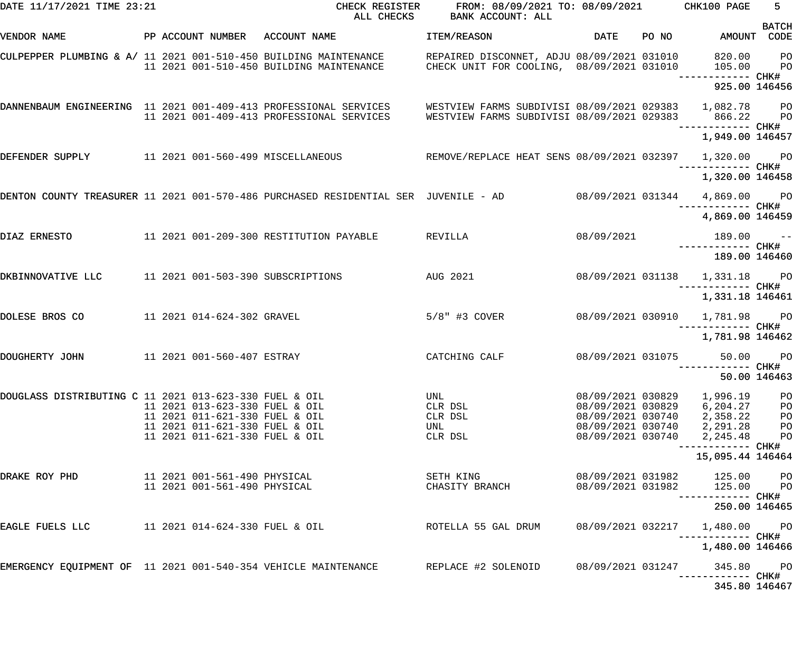| DATE 11/17/2021 TIME 23:21                                     |  |                                                                  | CHECK REGISTER<br>ALL CHECKS                                                                                                                                            | FROM: 08/09/2021 TO: 08/09/2021 CHK100 PAGE<br>BANK ACCOUNT: ALL                                                                     |                                        |                                                                      | $5 -$<br><b>BATCH</b>         |
|----------------------------------------------------------------|--|------------------------------------------------------------------|-------------------------------------------------------------------------------------------------------------------------------------------------------------------------|--------------------------------------------------------------------------------------------------------------------------------------|----------------------------------------|----------------------------------------------------------------------|-------------------------------|
| VENDOR NAME                                                    |  |                                                                  | PP ACCOUNT NUMBER ACCOUNT NAME                                                                                                                                          | ITEM/REASON                                                                                                                          | DATE PONO                              | AMOUNT CODE                                                          |                               |
|                                                                |  |                                                                  | CULPEPPER PLUMBING & A/ 11 2021 001-510-450 BUILDING MAINTENANCE<br>11 2021 001-510-450 BUILDING MAINTENANCE                                                            | REPAIRED DISCONNET, ADJU 08/09/2021 031010<br>CHECK UNIT FOR COOLING, 08/09/2021 031010<br>CHECK UNIT FOR COOLING, 08/09/2021 031010 |                                        | 820.00<br>105.00                                                     | <b>PO</b><br><b>PO</b>        |
|                                                                |  |                                                                  |                                                                                                                                                                         |                                                                                                                                      |                                        | 925.00 146456                                                        |                               |
|                                                                |  |                                                                  | DANNENBAUM ENGINEERING 11 2021 001-409-413 PROFESSIONAL SERVICES WESTVIEW FARMS SUBDIVISI 08/09/2021 029383 1,082.78 PO<br>11  2021  001-409-413  PROFESSIONAL SERVICES | WESTVIEW FARMS SUBDIVISI 08/09/2021 029383 866.22 PO                                                                                 |                                        | ------------ CHK#                                                    |                               |
|                                                                |  |                                                                  |                                                                                                                                                                         |                                                                                                                                      |                                        | 1,949.00 146457                                                      |                               |
|                                                                |  |                                                                  | DEFENDER SUPPLY 11 2021 001-560-499 MISCELLANEOUS REMOVE/REPLACE HEAT SENS 08/09/2021 032397 1,320.00 PO                                                                |                                                                                                                                      |                                        |                                                                      |                               |
|                                                                |  |                                                                  |                                                                                                                                                                         |                                                                                                                                      |                                        | 1,320.00 146458                                                      |                               |
|                                                                |  |                                                                  | DENTON COUNTY TREASURER 11 2021 001-570-486 PURCHASED RESIDENTIAL SER JUVENILE - AD $08/09/2021$ 031344 4,869.00 PO                                                     |                                                                                                                                      |                                        |                                                                      |                               |
|                                                                |  |                                                                  |                                                                                                                                                                         |                                                                                                                                      |                                        | 4,869.00 146459                                                      |                               |
| DIAZ ERNESTO                                                   |  |                                                                  | 11 2021 001-209-300 RESTITUTION PAYABLE REVILLA                                                                                                                         |                                                                                                                                      | 08/09/2021                             | $189.00 -$<br>------------ CHK#                                      |                               |
|                                                                |  |                                                                  |                                                                                                                                                                         |                                                                                                                                      |                                        | 189.00 146460                                                        |                               |
| DKBINNOVATIVE LLC 11 2021 001-503-390 SUBSCRIPTIONS            |  |                                                                  | AUG 2021                                                                                                                                                                |                                                                                                                                      |                                        | 08/09/2021 031138 1,331.18 PO                                        |                               |
|                                                                |  |                                                                  |                                                                                                                                                                         |                                                                                                                                      |                                        | 1,331.18 146461                                                      |                               |
| DOLESE BROS CO 11 2021 014-624-302 GRAVEL                      |  |                                                                  |                                                                                                                                                                         | 5/8" #3 COVER                                                                                                                        |                                        | 08/09/2021  030910  1,781.98  PO                                     |                               |
|                                                                |  |                                                                  |                                                                                                                                                                         |                                                                                                                                      |                                        | 1,781.98 146462                                                      |                               |
| DOUGHERTY JOHN                                                 |  | 11 2021 001-560-407 ESTRAY                                       |                                                                                                                                                                         | CATCHING CALF                                                                                                                        |                                        | 08/09/2021 031075 50.00 PO                                           |                               |
|                                                                |  |                                                                  |                                                                                                                                                                         |                                                                                                                                      |                                        | 50.00 146463                                                         |                               |
| DOUGLASS DISTRIBUTING C 11 2021 013-623-330 FUEL & OIL         |  | 11 2021 013-623-330 FUEL & OIL<br>11 2021 011-621-330 FUEL & OIL |                                                                                                                                                                         | UNL<br>CLR DSL                                                                                                                       | 08/09/2021 030829                      | 1,996.19<br>08/09/2021 030829 6,204.27<br>08/09/2021 030740 2,358.22 | P <sub>O</sub><br>$_{\rm PO}$ |
|                                                                |  | 11 2021 011-621-330 FUEL & OIL                                   |                                                                                                                                                                         | CLR DSL<br>UNL                                                                                                                       | 08/09/2021 030740                      | 2,291.28                                                             | P <sub>O</sub><br>$P$ O       |
|                                                                |  | 11 2021 011-621-330 FUEL & OIL                                   |                                                                                                                                                                         | CLR DSL                                                                                                                              | 08/09/2021 030740                      | 2,245.48                                                             | P <sub>O</sub>                |
|                                                                |  |                                                                  |                                                                                                                                                                         |                                                                                                                                      |                                        | 15,095.44 146464                                                     |                               |
| DRAKE ROY PHD                                                  |  | 11 2021 001-561-490 PHYSICAL<br>11 2021 001-561-490 PHYSICAL     |                                                                                                                                                                         | SETH KING<br>CHASITY BRANCH                                                                                                          | 08/09/2021 031982<br>08/09/2021 031982 | 125.00<br>125.00                                                     | <b>PO</b><br><b>PO</b>        |
|                                                                |  |                                                                  |                                                                                                                                                                         |                                                                                                                                      |                                        | ------------ CHK#<br>250.00 146465                                   |                               |
| EAGLE FUELS LLC                                                |  | 11 2021 014-624-330 FUEL & OIL                                   |                                                                                                                                                                         | ROTELLA 55 GAL DRUM                                                                                                                  | 08/09/2021 032217                      | 1,480.00                                                             | <b>PO</b>                     |
|                                                                |  |                                                                  |                                                                                                                                                                         |                                                                                                                                      |                                        | 1,480.00 146466                                                      |                               |
| EMERGENCY EQUIPMENT OF 11 2021 001-540-354 VEHICLE MAINTENANCE |  |                                                                  |                                                                                                                                                                         | REPLACE #2 SOLENOID                                                                                                                  | 08/09/2021 031247                      | 345.80                                                               | <b>PO</b>                     |
|                                                                |  |                                                                  |                                                                                                                                                                         |                                                                                                                                      |                                        | 345.80 146467                                                        |                               |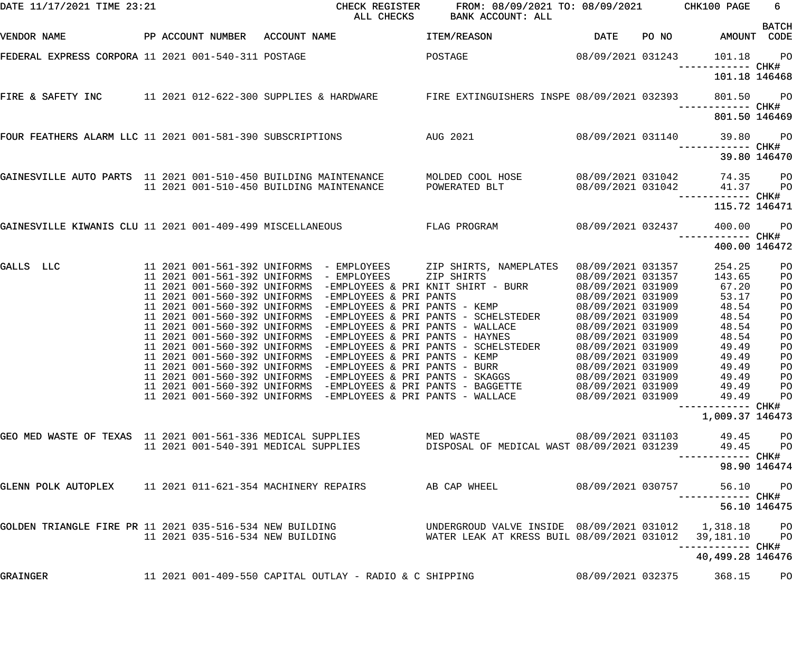| DATE 11/17/2021 TIME 23:21                                  |  |                                      | ALL CHECKS                                                                                                        | CHECK REGISTER FROM: 08/09/2021 TO: 08/09/2021 CHK100 PAGE<br>BANK ACCOUNT: ALL                                     |                                        |       |                                    | 6                                |
|-------------------------------------------------------------|--|--------------------------------------|-------------------------------------------------------------------------------------------------------------------|---------------------------------------------------------------------------------------------------------------------|----------------------------------------|-------|------------------------------------|----------------------------------|
| VENDOR NAME                                                 |  | PP ACCOUNT NUMBER ACCOUNT NAME       |                                                                                                                   | ITEM/REASON                                                                                                         | DATE                                   | PO NO | AMOUNT CODE                        | <b>BATCH</b>                     |
| FEDERAL EXPRESS CORPORA 11 2021 001-540-311 POSTAGE         |  |                                      |                                                                                                                   | $08/09/2021$ 031243<br>POSTAGE                                                                                      |                                        |       | 101.18                             | <b>PO</b>                        |
|                                                             |  |                                      |                                                                                                                   |                                                                                                                     |                                        |       | ------------ CHK#<br>101.18 146468 |                                  |
|                                                             |  |                                      |                                                                                                                   | FIRE & SAFETY INC 32393 COMPERED SUPPLIES & HARDWARE THE EXTINGUISHERS INSPE 08/09/2021 032393                      |                                        |       | 801.50<br>------------ CHK#        | <b>PO</b>                        |
|                                                             |  |                                      |                                                                                                                   |                                                                                                                     |                                        |       | 801.50 146469                      |                                  |
|                                                             |  |                                      |                                                                                                                   | FOUR FEATHERS ALARM LLC 11 2021 001-581-390 SUBSCRIPTIONS AUG 2021 198/09/2021 031140 39.80                         |                                        |       |                                    | $P$ O                            |
|                                                             |  |                                      |                                                                                                                   |                                                                                                                     |                                        |       |                                    | 39.80 146470                     |
|                                                             |  |                                      | 11 2021 001-510-450 BUILDING MAINTENANCE                                                                          | GAINESVILLE AUTO PARTS 11 2021 001-510-450 BUILDING MAINTENANCE MOLDED COOL HOSE 68/09/2021 031042<br>POWERATED BLT | 08/09/2021 031042                      |       | 74.35<br>41.37                     | <b>PO</b><br>P <sub>O</sub>      |
|                                                             |  |                                      |                                                                                                                   |                                                                                                                     |                                        |       | ------------ CHK#<br>115.72 146471 |                                  |
|                                                             |  |                                      |                                                                                                                   | GAINESVILLE KIWANIS CLU 11 2021 001-409-499 MISCELLANEOUS FLAG PROGRAM 68/09/2021 032437                            |                                        |       | 400.00                             | P <sub>O</sub>                   |
|                                                             |  |                                      |                                                                                                                   |                                                                                                                     |                                        |       | ------------ CHK#<br>400.00 146472 |                                  |
| GALLS LLC                                                   |  |                                      | 11  2021  001-561-392  UNIFORMS - EMPLOYEES                                                                       | ZIP SHIRTS<br>11 2021 001-560-392 UNIFORMS -EMPLOYEES & PRI KNIT SHIRT - BURR                                       | 08/09/2021 031357<br>08/09/2021 031909 |       | 254.25<br>143.65<br>67.20          | PO<br>PO<br>PO                   |
|                                                             |  |                                      | 11 2021 001-560-392 UNIFORMS -EMPLOYEES & PRI PANTS<br>11 2021 001-560-392 UNIFORMS -EMPLOYEES & PRI PANTS - KEMP |                                                                                                                     | 08/09/2021 031909<br>08/09/2021 031909 |       | 53.17<br>48.54                     | PO<br>PO                         |
|                                                             |  |                                      |                                                                                                                   | 11 2021 001-560-392 UNIFORMS -EMPLOYEES & PRI PANTS - SCHELSTEDER                                                   | 08/09/2021 031909                      |       | 48.54                              | PO                               |
|                                                             |  |                                      | 11 2021 001-560-392 UNIFORMS -EMPLOYEES & PRI PANTS - WALLACE                                                     |                                                                                                                     | 08/09/2021 031909                      |       | 48.54                              | PO                               |
|                                                             |  |                                      | 11 2021 001-560-392 UNIFORMS -EMPLOYEES & PRI PANTS - HAYNES                                                      | 11 2021 001-560-392 UNIFORMS -EMPLOYEES & PRI PANTS - SCHELSTEDER                                                   | 08/09/2021 031909<br>08/09/2021 031909 |       | 48.54<br>49.49                     | PO<br>P <sub>O</sub>             |
|                                                             |  |                                      |                                                                                                                   | 11 2021 001-560-392 UNIFORMS -EMPLOYEES & PRI PANTS - KEMP                                                          | 08/09/2021 031909                      |       | 49.49                              | PO                               |
|                                                             |  |                                      |                                                                                                                   | 11 2021 001-560-392 UNIFORMS -EMPLOYEES & PRI PANTS - BURR                                                          | 08/09/2021 031909                      |       | 49.49                              | PO                               |
|                                                             |  |                                      | 11 2021 001-560-392 UNIFORMS -EMPLOYEES & PRI PANTS - SKAGGS                                                      |                                                                                                                     | 08/09/2021 031909                      |       | 49.49                              | PO                               |
|                                                             |  |                                      | 11 2021 001-560-392 UNIFORMS -EMPLOYEES & PRI PANTS - BAGGETTE                                                    |                                                                                                                     | 08/09/2021 031909                      |       | 49.49                              | P <sub>O</sub>                   |
|                                                             |  |                                      | 11 2021 001-560-392 UNIFORMS -EMPLOYEES & PRI PANTS - WALLACE                                                     |                                                                                                                     | 08/09/2021 031909                      |       | 49.49                              | PO                               |
|                                                             |  |                                      |                                                                                                                   |                                                                                                                     |                                        |       | --------- CHK#                     |                                  |
|                                                             |  |                                      |                                                                                                                   |                                                                                                                     |                                        |       | 1,009.37 146473                    |                                  |
| GEO MED WASTE OF TEXAS 11 2021 001-561-336 MEDICAL SUPPLIES |  | 11 2021 001-540-391 MEDICAL SUPPLIES |                                                                                                                   | MED WASTE<br>DISPOSAL OF MEDICAL WAST 08/09/2021 031239                                                             | 08/09/2021 031103                      |       | 49.45<br>49.45                     | P <sub>O</sub><br>P <sub>O</sub> |
|                                                             |  |                                      |                                                                                                                   |                                                                                                                     |                                        |       | ------ CHK#                        | 98.90 146474                     |
| GLENN POLK AUTOPLEX 11 2021 011-621-354 MACHINERY REPAIRS   |  |                                      |                                                                                                                   | AB CAP WHEEL                                                                                                        | 08/09/2021 030757                      |       | 56.10                              | P <sub>O</sub>                   |
|                                                             |  |                                      |                                                                                                                   |                                                                                                                     |                                        |       | ----------- CHK#                   | 56.10 146475                     |
| GOLDEN TRIANGLE FIRE PR 11 2021 035-516-534 NEW BUILDING    |  |                                      |                                                                                                                   | UNDERGROUD VALVE INSIDE 08/09/2021 031012 1,318.18                                                                  |                                        |       |                                    | $P$ O                            |
|                                                             |  | 11 2021 035-516-534 NEW BUILDING     |                                                                                                                   | WATER LEAK AT KRESS BUIL 08/09/2021 031012                                                                          |                                        |       | 39,181.10<br>---------- CHK#       | P <sub>O</sub>                   |
| GRAINGER                                                    |  |                                      | 11 2021 001-409-550 CAPITAL OUTLAY - RADIO & C SHIPPING                                                           |                                                                                                                     | 08/09/2021 032375                      |       | 40,499.28 146476<br>368.15         | PO                               |
|                                                             |  |                                      |                                                                                                                   |                                                                                                                     |                                        |       |                                    |                                  |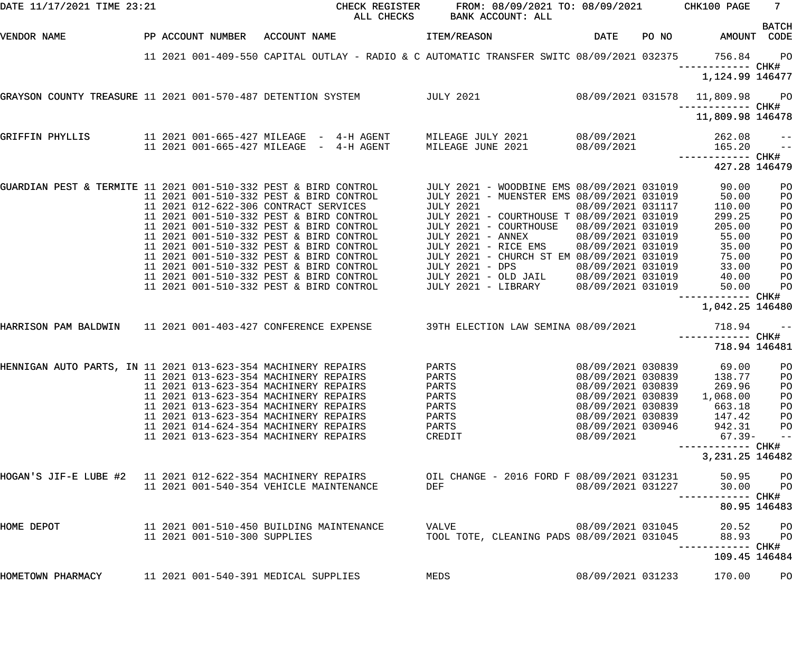| ALL CHECKS        | BANK ACCOUNT: ALL                                                                                                                                                                                                                                                                                                                                                                                                                                                                                                                                                                                                                                                                                                                                                                                                                                                                                                                                                                                                                                                                                                                                                                                          |                                                                                                                                                                                                                                                                            |            |                                                                                                                                                                                                                                                                                                                                                                                                                                                                                                                                   | 7 <sup>7</sup>                                                                                                                                                                                                                                                                                                                                                                                                                                                                                                                                                                                                                                                                                                        |
|-------------------|------------------------------------------------------------------------------------------------------------------------------------------------------------------------------------------------------------------------------------------------------------------------------------------------------------------------------------------------------------------------------------------------------------------------------------------------------------------------------------------------------------------------------------------------------------------------------------------------------------------------------------------------------------------------------------------------------------------------------------------------------------------------------------------------------------------------------------------------------------------------------------------------------------------------------------------------------------------------------------------------------------------------------------------------------------------------------------------------------------------------------------------------------------------------------------------------------------|----------------------------------------------------------------------------------------------------------------------------------------------------------------------------------------------------------------------------------------------------------------------------|------------|-----------------------------------------------------------------------------------------------------------------------------------------------------------------------------------------------------------------------------------------------------------------------------------------------------------------------------------------------------------------------------------------------------------------------------------------------------------------------------------------------------------------------------------|-----------------------------------------------------------------------------------------------------------------------------------------------------------------------------------------------------------------------------------------------------------------------------------------------------------------------------------------------------------------------------------------------------------------------------------------------------------------------------------------------------------------------------------------------------------------------------------------------------------------------------------------------------------------------------------------------------------------------|
| ACCOUNT NAME      | ITEM/REASON                                                                                                                                                                                                                                                                                                                                                                                                                                                                                                                                                                                                                                                                                                                                                                                                                                                                                                                                                                                                                                                                                                                                                                                                | <b>DATE</b>                                                                                                                                                                                                                                                                | PO NO      |                                                                                                                                                                                                                                                                                                                                                                                                                                                                                                                                   | <b>BATCH</b><br>CODE                                                                                                                                                                                                                                                                                                                                                                                                                                                                                                                                                                                                                                                                                                  |
|                   |                                                                                                                                                                                                                                                                                                                                                                                                                                                                                                                                                                                                                                                                                                                                                                                                                                                                                                                                                                                                                                                                                                                                                                                                            |                                                                                                                                                                                                                                                                            |            | 756.84                                                                                                                                                                                                                                                                                                                                                                                                                                                                                                                            | $P$ O                                                                                                                                                                                                                                                                                                                                                                                                                                                                                                                                                                                                                                                                                                                 |
|                   |                                                                                                                                                                                                                                                                                                                                                                                                                                                                                                                                                                                                                                                                                                                                                                                                                                                                                                                                                                                                                                                                                                                                                                                                            |                                                                                                                                                                                                                                                                            |            |                                                                                                                                                                                                                                                                                                                                                                                                                                                                                                                                   |                                                                                                                                                                                                                                                                                                                                                                                                                                                                                                                                                                                                                                                                                                                       |
|                   |                                                                                                                                                                                                                                                                                                                                                                                                                                                                                                                                                                                                                                                                                                                                                                                                                                                                                                                                                                                                                                                                                                                                                                                                            |                                                                                                                                                                                                                                                                            |            | 11,809.98                                                                                                                                                                                                                                                                                                                                                                                                                                                                                                                         | $P$ O                                                                                                                                                                                                                                                                                                                                                                                                                                                                                                                                                                                                                                                                                                                 |
|                   |                                                                                                                                                                                                                                                                                                                                                                                                                                                                                                                                                                                                                                                                                                                                                                                                                                                                                                                                                                                                                                                                                                                                                                                                            |                                                                                                                                                                                                                                                                            |            |                                                                                                                                                                                                                                                                                                                                                                                                                                                                                                                                   |                                                                                                                                                                                                                                                                                                                                                                                                                                                                                                                                                                                                                                                                                                                       |
|                   | MILEAGE JULY 2021                                                                                                                                                                                                                                                                                                                                                                                                                                                                                                                                                                                                                                                                                                                                                                                                                                                                                                                                                                                                                                                                                                                                                                                          |                                                                                                                                                                                                                                                                            |            | 262.08                                                                                                                                                                                                                                                                                                                                                                                                                                                                                                                            | $-$<br>$ -$                                                                                                                                                                                                                                                                                                                                                                                                                                                                                                                                                                                                                                                                                                           |
|                   |                                                                                                                                                                                                                                                                                                                                                                                                                                                                                                                                                                                                                                                                                                                                                                                                                                                                                                                                                                                                                                                                                                                                                                                                            |                                                                                                                                                                                                                                                                            |            |                                                                                                                                                                                                                                                                                                                                                                                                                                                                                                                                   |                                                                                                                                                                                                                                                                                                                                                                                                                                                                                                                                                                                                                                                                                                                       |
|                   |                                                                                                                                                                                                                                                                                                                                                                                                                                                                                                                                                                                                                                                                                                                                                                                                                                                                                                                                                                                                                                                                                                                                                                                                            |                                                                                                                                                                                                                                                                            |            |                                                                                                                                                                                                                                                                                                                                                                                                                                                                                                                                   |                                                                                                                                                                                                                                                                                                                                                                                                                                                                                                                                                                                                                                                                                                                       |
|                   |                                                                                                                                                                                                                                                                                                                                                                                                                                                                                                                                                                                                                                                                                                                                                                                                                                                                                                                                                                                                                                                                                                                                                                                                            |                                                                                                                                                                                                                                                                            |            | 90.00                                                                                                                                                                                                                                                                                                                                                                                                                                                                                                                             | PO                                                                                                                                                                                                                                                                                                                                                                                                                                                                                                                                                                                                                                                                                                                    |
|                   |                                                                                                                                                                                                                                                                                                                                                                                                                                                                                                                                                                                                                                                                                                                                                                                                                                                                                                                                                                                                                                                                                                                                                                                                            |                                                                                                                                                                                                                                                                            |            |                                                                                                                                                                                                                                                                                                                                                                                                                                                                                                                                   | PO<br>PO                                                                                                                                                                                                                                                                                                                                                                                                                                                                                                                                                                                                                                                                                                              |
|                   |                                                                                                                                                                                                                                                                                                                                                                                                                                                                                                                                                                                                                                                                                                                                                                                                                                                                                                                                                                                                                                                                                                                                                                                                            |                                                                                                                                                                                                                                                                            |            |                                                                                                                                                                                                                                                                                                                                                                                                                                                                                                                                   | PO                                                                                                                                                                                                                                                                                                                                                                                                                                                                                                                                                                                                                                                                                                                    |
|                   | JULY 2021 - COURTHOUSE                                                                                                                                                                                                                                                                                                                                                                                                                                                                                                                                                                                                                                                                                                                                                                                                                                                                                                                                                                                                                                                                                                                                                                                     |                                                                                                                                                                                                                                                                            |            | 205.00                                                                                                                                                                                                                                                                                                                                                                                                                                                                                                                            | PO                                                                                                                                                                                                                                                                                                                                                                                                                                                                                                                                                                                                                                                                                                                    |
|                   | JULY 2021 - ANNEX                                                                                                                                                                                                                                                                                                                                                                                                                                                                                                                                                                                                                                                                                                                                                                                                                                                                                                                                                                                                                                                                                                                                                                                          |                                                                                                                                                                                                                                                                            |            | 55.00                                                                                                                                                                                                                                                                                                                                                                                                                                                                                                                             | PO                                                                                                                                                                                                                                                                                                                                                                                                                                                                                                                                                                                                                                                                                                                    |
|                   | JULY 2021 - RICE EMS                                                                                                                                                                                                                                                                                                                                                                                                                                                                                                                                                                                                                                                                                                                                                                                                                                                                                                                                                                                                                                                                                                                                                                                       |                                                                                                                                                                                                                                                                            |            | 35.00                                                                                                                                                                                                                                                                                                                                                                                                                                                                                                                             | PO                                                                                                                                                                                                                                                                                                                                                                                                                                                                                                                                                                                                                                                                                                                    |
|                   |                                                                                                                                                                                                                                                                                                                                                                                                                                                                                                                                                                                                                                                                                                                                                                                                                                                                                                                                                                                                                                                                                                                                                                                                            |                                                                                                                                                                                                                                                                            |            |                                                                                                                                                                                                                                                                                                                                                                                                                                                                                                                                   | PO                                                                                                                                                                                                                                                                                                                                                                                                                                                                                                                                                                                                                                                                                                                    |
|                   |                                                                                                                                                                                                                                                                                                                                                                                                                                                                                                                                                                                                                                                                                                                                                                                                                                                                                                                                                                                                                                                                                                                                                                                                            |                                                                                                                                                                                                                                                                            |            |                                                                                                                                                                                                                                                                                                                                                                                                                                                                                                                                   | PO                                                                                                                                                                                                                                                                                                                                                                                                                                                                                                                                                                                                                                                                                                                    |
|                   |                                                                                                                                                                                                                                                                                                                                                                                                                                                                                                                                                                                                                                                                                                                                                                                                                                                                                                                                                                                                                                                                                                                                                                                                            |                                                                                                                                                                                                                                                                            |            |                                                                                                                                                                                                                                                                                                                                                                                                                                                                                                                                   | PO                                                                                                                                                                                                                                                                                                                                                                                                                                                                                                                                                                                                                                                                                                                    |
|                   |                                                                                                                                                                                                                                                                                                                                                                                                                                                                                                                                                                                                                                                                                                                                                                                                                                                                                                                                                                                                                                                                                                                                                                                                            |                                                                                                                                                                                                                                                                            |            |                                                                                                                                                                                                                                                                                                                                                                                                                                                                                                                                   | PO                                                                                                                                                                                                                                                                                                                                                                                                                                                                                                                                                                                                                                                                                                                    |
|                   |                                                                                                                                                                                                                                                                                                                                                                                                                                                                                                                                                                                                                                                                                                                                                                                                                                                                                                                                                                                                                                                                                                                                                                                                            |                                                                                                                                                                                                                                                                            |            |                                                                                                                                                                                                                                                                                                                                                                                                                                                                                                                                   |                                                                                                                                                                                                                                                                                                                                                                                                                                                                                                                                                                                                                                                                                                                       |
|                   |                                                                                                                                                                                                                                                                                                                                                                                                                                                                                                                                                                                                                                                                                                                                                                                                                                                                                                                                                                                                                                                                                                                                                                                                            |                                                                                                                                                                                                                                                                            |            | 718.94                                                                                                                                                                                                                                                                                                                                                                                                                                                                                                                            | $ -$                                                                                                                                                                                                                                                                                                                                                                                                                                                                                                                                                                                                                                                                                                                  |
|                   |                                                                                                                                                                                                                                                                                                                                                                                                                                                                                                                                                                                                                                                                                                                                                                                                                                                                                                                                                                                                                                                                                                                                                                                                            |                                                                                                                                                                                                                                                                            |            |                                                                                                                                                                                                                                                                                                                                                                                                                                                                                                                                   |                                                                                                                                                                                                                                                                                                                                                                                                                                                                                                                                                                                                                                                                                                                       |
|                   | PARTS                                                                                                                                                                                                                                                                                                                                                                                                                                                                                                                                                                                                                                                                                                                                                                                                                                                                                                                                                                                                                                                                                                                                                                                                      |                                                                                                                                                                                                                                                                            |            | 69.00                                                                                                                                                                                                                                                                                                                                                                                                                                                                                                                             | PO                                                                                                                                                                                                                                                                                                                                                                                                                                                                                                                                                                                                                                                                                                                    |
|                   | PARTS                                                                                                                                                                                                                                                                                                                                                                                                                                                                                                                                                                                                                                                                                                                                                                                                                                                                                                                                                                                                                                                                                                                                                                                                      |                                                                                                                                                                                                                                                                            |            | 138.77                                                                                                                                                                                                                                                                                                                                                                                                                                                                                                                            | PO                                                                                                                                                                                                                                                                                                                                                                                                                                                                                                                                                                                                                                                                                                                    |
|                   |                                                                                                                                                                                                                                                                                                                                                                                                                                                                                                                                                                                                                                                                                                                                                                                                                                                                                                                                                                                                                                                                                                                                                                                                            |                                                                                                                                                                                                                                                                            |            |                                                                                                                                                                                                                                                                                                                                                                                                                                                                                                                                   | PO                                                                                                                                                                                                                                                                                                                                                                                                                                                                                                                                                                                                                                                                                                                    |
|                   |                                                                                                                                                                                                                                                                                                                                                                                                                                                                                                                                                                                                                                                                                                                                                                                                                                                                                                                                                                                                                                                                                                                                                                                                            |                                                                                                                                                                                                                                                                            |            |                                                                                                                                                                                                                                                                                                                                                                                                                                                                                                                                   | PO                                                                                                                                                                                                                                                                                                                                                                                                                                                                                                                                                                                                                                                                                                                    |
|                   |                                                                                                                                                                                                                                                                                                                                                                                                                                                                                                                                                                                                                                                                                                                                                                                                                                                                                                                                                                                                                                                                                                                                                                                                            |                                                                                                                                                                                                                                                                            |            |                                                                                                                                                                                                                                                                                                                                                                                                                                                                                                                                   | PO                                                                                                                                                                                                                                                                                                                                                                                                                                                                                                                                                                                                                                                                                                                    |
|                   |                                                                                                                                                                                                                                                                                                                                                                                                                                                                                                                                                                                                                                                                                                                                                                                                                                                                                                                                                                                                                                                                                                                                                                                                            |                                                                                                                                                                                                                                                                            |            |                                                                                                                                                                                                                                                                                                                                                                                                                                                                                                                                   | PO                                                                                                                                                                                                                                                                                                                                                                                                                                                                                                                                                                                                                                                                                                                    |
|                   |                                                                                                                                                                                                                                                                                                                                                                                                                                                                                                                                                                                                                                                                                                                                                                                                                                                                                                                                                                                                                                                                                                                                                                                                            |                                                                                                                                                                                                                                                                            |            |                                                                                                                                                                                                                                                                                                                                                                                                                                                                                                                                   | PO<br>$- -$                                                                                                                                                                                                                                                                                                                                                                                                                                                                                                                                                                                                                                                                                                           |
|                   |                                                                                                                                                                                                                                                                                                                                                                                                                                                                                                                                                                                                                                                                                                                                                                                                                                                                                                                                                                                                                                                                                                                                                                                                            |                                                                                                                                                                                                                                                                            |            |                                                                                                                                                                                                                                                                                                                                                                                                                                                                                                                                   |                                                                                                                                                                                                                                                                                                                                                                                                                                                                                                                                                                                                                                                                                                                       |
|                   |                                                                                                                                                                                                                                                                                                                                                                                                                                                                                                                                                                                                                                                                                                                                                                                                                                                                                                                                                                                                                                                                                                                                                                                                            |                                                                                                                                                                                                                                                                            |            |                                                                                                                                                                                                                                                                                                                                                                                                                                                                                                                                   |                                                                                                                                                                                                                                                                                                                                                                                                                                                                                                                                                                                                                                                                                                                       |
|                   |                                                                                                                                                                                                                                                                                                                                                                                                                                                                                                                                                                                                                                                                                                                                                                                                                                                                                                                                                                                                                                                                                                                                                                                                            |                                                                                                                                                                                                                                                                            |            | 50.95                                                                                                                                                                                                                                                                                                                                                                                                                                                                                                                             | PО                                                                                                                                                                                                                                                                                                                                                                                                                                                                                                                                                                                                                                                                                                                    |
|                   |                                                                                                                                                                                                                                                                                                                                                                                                                                                                                                                                                                                                                                                                                                                                                                                                                                                                                                                                                                                                                                                                                                                                                                                                            |                                                                                                                                                                                                                                                                            |            |                                                                                                                                                                                                                                                                                                                                                                                                                                                                                                                                   | PО                                                                                                                                                                                                                                                                                                                                                                                                                                                                                                                                                                                                                                                                                                                    |
|                   |                                                                                                                                                                                                                                                                                                                                                                                                                                                                                                                                                                                                                                                                                                                                                                                                                                                                                                                                                                                                                                                                                                                                                                                                            |                                                                                                                                                                                                                                                                            |            |                                                                                                                                                                                                                                                                                                                                                                                                                                                                                                                                   | 80.95 146483                                                                                                                                                                                                                                                                                                                                                                                                                                                                                                                                                                                                                                                                                                          |
|                   |                                                                                                                                                                                                                                                                                                                                                                                                                                                                                                                                                                                                                                                                                                                                                                                                                                                                                                                                                                                                                                                                                                                                                                                                            |                                                                                                                                                                                                                                                                            |            |                                                                                                                                                                                                                                                                                                                                                                                                                                                                                                                                   | P <sub>O</sub>                                                                                                                                                                                                                                                                                                                                                                                                                                                                                                                                                                                                                                                                                                        |
|                   |                                                                                                                                                                                                                                                                                                                                                                                                                                                                                                                                                                                                                                                                                                                                                                                                                                                                                                                                                                                                                                                                                                                                                                                                            |                                                                                                                                                                                                                                                                            |            | 88.93                                                                                                                                                                                                                                                                                                                                                                                                                                                                                                                             | PО                                                                                                                                                                                                                                                                                                                                                                                                                                                                                                                                                                                                                                                                                                                    |
|                   |                                                                                                                                                                                                                                                                                                                                                                                                                                                                                                                                                                                                                                                                                                                                                                                                                                                                                                                                                                                                                                                                                                                                                                                                            |                                                                                                                                                                                                                                                                            |            |                                                                                                                                                                                                                                                                                                                                                                                                                                                                                                                                   |                                                                                                                                                                                                                                                                                                                                                                                                                                                                                                                                                                                                                                                                                                                       |
|                   | MEDS                                                                                                                                                                                                                                                                                                                                                                                                                                                                                                                                                                                                                                                                                                                                                                                                                                                                                                                                                                                                                                                                                                                                                                                                       |                                                                                                                                                                                                                                                                            |            | 170.00                                                                                                                                                                                                                                                                                                                                                                                                                                                                                                                            | PO                                                                                                                                                                                                                                                                                                                                                                                                                                                                                                                                                                                                                                                                                                                    |
| PP ACCOUNT NUMBER | 11  2021  001-665-427  MILEAGE  - 4-H  AGENT<br>11  2021  001-665-427  MILEAGE  -  4-H  AGENT<br>GUARDIAN PEST & TERMITE 11 2021 001-510-332 PEST & BIRD CONTROL<br>11 2021 001-510-332 PEST & BIRD CONTROL<br>11 2021 012-622-306 CONTRACT SERVICES<br>11 2021 001-510-332 PEST & BIRD CONTROL<br>11 2021 001-510-332 PEST & BIRD CONTROL<br>11 2021 001-510-332 PEST & BIRD CONTROL<br>11 2021 001-510-332 PEST & BIRD CONTROL<br>11 2021 001-510-332 PEST & BIRD CONTROL<br>11 2021 001-510-332 PEST & BIRD CONTROL<br>11 2021 001-510-332 PEST & BIRD CONTROL<br>11 2021 001-510-332 PEST & BIRD CONTROL<br>HARRISON PAM BALDWIN 11 2021 001-403-427 CONFERENCE EXPENSE<br>HENNIGAN AUTO PARTS, IN 11 2021 013-623-354 MACHINERY REPAIRS<br>11 2021 013-623-354 MACHINERY REPAIRS<br>11 2021 013-623-354 MACHINERY REPAIRS<br>11 2021 013-623-354 MACHINERY REPAIRS<br>11 2021 013-623-354 MACHINERY REPAIRS<br>11 2021 013-623-354 MACHINERY REPAIRS<br>11 2021 014-624-354 MACHINERY REPAIRS<br>11 2021 013-623-354 MACHINERY REPAIRS<br>11 2021 001-540-354 VEHICLE MAINTENANCE<br>11 2021 001-510-450 BUILDING MAINTENANCE<br>11 2021 001-510-300 SUPPLIES<br>11 2021 001-540-391 MEDICAL SUPPLIES | CHECK REGISTER<br>GRAYSON COUNTY TREASURE 11 2021 001-570-487 DETENTION SYSTEM TULY 2021<br>MILEAGE JUNE 2021<br><b>JULY 2021</b><br>JULY 2021 - DPS<br>JULY 2021 - OLD JAIL<br>JULY 2021 - LIBRARY<br>PARTS<br>PARTS<br>PARTS<br>PARTS<br>PARTS<br>CREDIT<br>DEF<br>VALVE | 08/09/2021 | FROM: 08/09/2021 TO: 08/09/2021<br>08/09/2021<br>08/09/2021<br>JULY 2021 - MUENSTER EMS 08/09/2021 031019<br>08/09/2021 031117<br>JULY 2021 - COURTHOUSE T 08/09/2021 031019<br>08/09/2021 031019<br>08/09/2021 031019<br>08/09/2021 031019<br>JULY 2021 - CHURCH ST EM 08/09/2021 031019<br>08/09/2021 031019<br>08/09/2021 031019<br>08/09/2021 031019<br>39TH ELECTION LAW SEMINA 08/09/2021<br>08/09/2021 030839<br>08/09/2021 030839<br>08/09/2021 031227<br>TOOL TOTE, CLEANING PADS 08/09/2021 031045<br>08/09/2021 031233 | CHK100 PAGE<br>AMOUNT<br>11 2021 001-409-550 CAPITAL OUTLAY - RADIO & C AUTOMATIC TRANSFER SWITC 08/09/2021 032375<br>1, 124.99 146477<br>08/09/2021 031578<br>11,809.98 146478<br>165.20<br>427.28 146479<br>JULY 2021 - WOODBINE EMS 08/09/2021 031019<br>50.00<br>110.00<br>299.25<br>75.00<br>33.00<br>40.00<br>50.00<br>------------ CHK#<br>1,042.25 146480<br>718.94 146481<br>08/09/2021 030839<br>269.96<br>08/09/2021 030839<br>1,068.00<br>08/09/2021 030839<br>663.18<br>08/09/2021 030839<br>147.42<br>08/09/2021 030946<br>942.31<br>$67.39 -$<br>3, 231. 25 146482<br>OIL CHANGE - 2016 FORD F 08/09/2021 031231<br>30.00<br>------ CHK#<br>08/09/2021 031045<br>20.52<br>------ CHK#<br>109.45 146484 |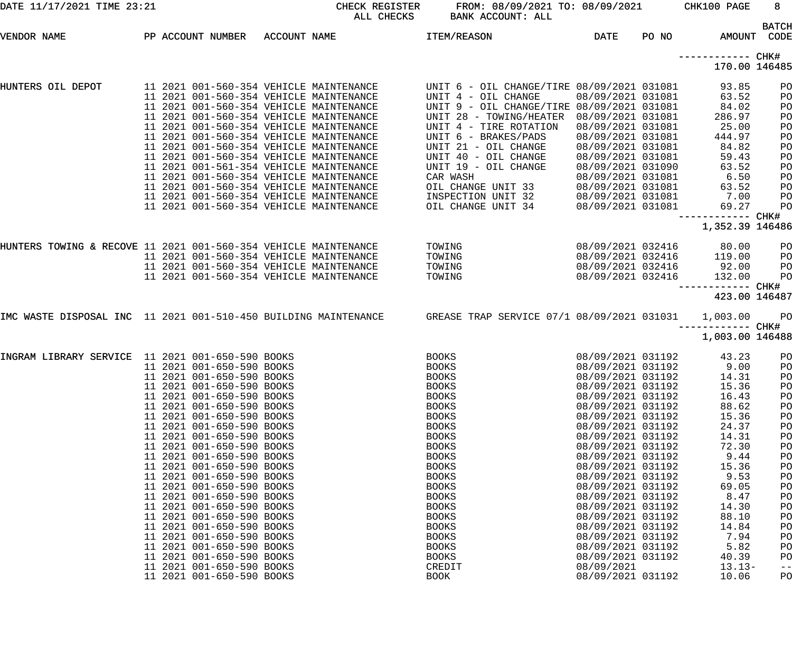| DATE 11/17/2021 TIME 23:21                                      |                                                                                                                                                                                                                                                                                                                                                                                                                                                                                                                                                                                                                                                            | CHECK REGISTER<br>ALL CHECKS | FROM: 08/09/2021 TO: 08/09/2021 CHK100 PAGE<br>BANK ACCOUNT: ALL                                                                                                                                                                                                                                                                                                      |                                                                                                                                                                                                                                                                                                                                                                                                                                                                                          |       |                                                                                                                                                                                                                             | 8                                                                                                                                          |
|-----------------------------------------------------------------|------------------------------------------------------------------------------------------------------------------------------------------------------------------------------------------------------------------------------------------------------------------------------------------------------------------------------------------------------------------------------------------------------------------------------------------------------------------------------------------------------------------------------------------------------------------------------------------------------------------------------------------------------------|------------------------------|-----------------------------------------------------------------------------------------------------------------------------------------------------------------------------------------------------------------------------------------------------------------------------------------------------------------------------------------------------------------------|------------------------------------------------------------------------------------------------------------------------------------------------------------------------------------------------------------------------------------------------------------------------------------------------------------------------------------------------------------------------------------------------------------------------------------------------------------------------------------------|-------|-----------------------------------------------------------------------------------------------------------------------------------------------------------------------------------------------------------------------------|--------------------------------------------------------------------------------------------------------------------------------------------|
| VENDOR NAME                                                     | PP ACCOUNT NUMBER ACCOUNT NAME                                                                                                                                                                                                                                                                                                                                                                                                                                                                                                                                                                                                                             |                              | <b>ITEM/REASON</b>                                                                                                                                                                                                                                                                                                                                                    | DATE                                                                                                                                                                                                                                                                                                                                                                                                                                                                                     | PO NO |                                                                                                                                                                                                                             | <b>BATCH</b><br>AMOUNT CODE                                                                                                                |
|                                                                 |                                                                                                                                                                                                                                                                                                                                                                                                                                                                                                                                                                                                                                                            |                              |                                                                                                                                                                                                                                                                                                                                                                       |                                                                                                                                                                                                                                                                                                                                                                                                                                                                                          |       | ------------ CHK#<br>170.00 146485                                                                                                                                                                                          |                                                                                                                                            |
| HUNTERS OIL DEPOT                                               | 11 2021 001-560-354 VEHICLE MAINTENANCE<br>11 2021 001-560-354 VEHICLE MAINTENANCE<br>11 2021 001-560-354 VEHICLE MAINTENANCE<br>11 2021 001-560-354 VEHICLE MAINTENANCE<br>11 2021 001-560-354 VEHICLE MAINTENANCE<br>11 2021 001-560-354 VEHICLE MAINTENANCE<br>11 2021 001-560-354 VEHICLE MAINTENANCE                                                                                                                                                                                                                                                                                                                                                  |                              | UNIT 6 - OIL CHANGE/TIRE 08/09/2021 031081<br>UNIT 4 - OIL CHANGE<br>UNIT 9 - OIL CHANGE/TIRE 08/09/2021 031081<br>UNIT 28 - TOWING/HEATER 08/09/2021 031081<br>UNIT 4 - TIRE ROTATION<br>UNIT 6 - BRAKES/PADS<br>UNIT 21 - OIL CHANGE                                                                                                                                | 08/09/2021 031081<br>08/09/2021 031081<br>08/09/2021 031081<br>08/09/2021 031081                                                                                                                                                                                                                                                                                                                                                                                                         |       | 93.85<br>63.52<br>84.02<br>286.97<br>25.00<br>444.97<br>84.82                                                                                                                                                               | PO<br>PO<br>PO<br>PO<br>PO<br>PO<br>PO                                                                                                     |
|                                                                 | 11 2021 001-560-354 VEHICLE MAINTENANCE<br>11 2021 001-561-354 VEHICLE MAINTENANCE<br>11 2021 001-560-354 VEHICLE MAINTENANCE<br>11 2021 001-560-354 VEHICLE MAINTENANCE<br>11 2021 001-560-354 VEHICLE MAINTENANCE<br>11 2021 001-560-354 VEHICLE MAINTENANCE                                                                                                                                                                                                                                                                                                                                                                                             |                              | UNIT 40 - OIL CHANGE<br>UNIT 19 - OIL CHANGE<br>CAR WASH<br>OIL CHANGE UNIT 33<br>INSPECTION UNIT 32<br>OIL CHANGE UNIT 34                                                                                                                                                                                                                                            | 08/09/2021 031081<br>08/09/2021 031090<br>08/09/2021 031081<br>08/09/2021 031081<br>08/09/2021 031081<br>08/09/2021 031081                                                                                                                                                                                                                                                                                                                                                               |       | 59.43<br>63.52<br>6.50<br>63.52<br>7.00<br>69.27<br>------------ CHK#                                                                                                                                                       | PO<br>PO<br>PO<br>PO<br>PO<br>PO                                                                                                           |
|                                                                 |                                                                                                                                                                                                                                                                                                                                                                                                                                                                                                                                                                                                                                                            |                              |                                                                                                                                                                                                                                                                                                                                                                       |                                                                                                                                                                                                                                                                                                                                                                                                                                                                                          |       | 1,352.39 146486                                                                                                                                                                                                             |                                                                                                                                            |
| HUNTERS TOWING & RECOVE 11 2021 001-560-354 VEHICLE MAINTENANCE | 11 2021 001-560-354 VEHICLE MAINTENANCE<br>11 2021 001-560-354 VEHICLE MAINTENANCE<br>11 2021 001-560-354 VEHICLE MAINTENANCE                                                                                                                                                                                                                                                                                                                                                                                                                                                                                                                              |                              | TOWING<br>TOWING<br>TOWING<br>TOWING                                                                                                                                                                                                                                                                                                                                  | 08/09/2021 032416<br>08/09/2021 032416<br>08/09/2021 032416<br>08/09/2021 032416                                                                                                                                                                                                                                                                                                                                                                                                         |       | 80.00<br>119.00<br>92.00<br>132.00<br>----------- CHK#                                                                                                                                                                      | PO<br>PO<br>PO<br>PO                                                                                                                       |
|                                                                 |                                                                                                                                                                                                                                                                                                                                                                                                                                                                                                                                                                                                                                                            |                              |                                                                                                                                                                                                                                                                                                                                                                       |                                                                                                                                                                                                                                                                                                                                                                                                                                                                                          |       | 423.00 146487                                                                                                                                                                                                               |                                                                                                                                            |
| IMC WASTE DISPOSAL INC 11 2021 001-510-450 BUILDING MAINTENANCE |                                                                                                                                                                                                                                                                                                                                                                                                                                                                                                                                                                                                                                                            |                              | GREASE TRAP SERVICE 07/1 08/09/2021 031031                                                                                                                                                                                                                                                                                                                            |                                                                                                                                                                                                                                                                                                                                                                                                                                                                                          |       | 1,003.00                                                                                                                                                                                                                    | PO                                                                                                                                         |
| INGRAM LIBRARY SERVICE 11 2021 001-650-590 BOOKS                | 11 2021 001-650-590 BOOKS<br>11 2021 001-650-590 BOOKS<br>11 2021 001-650-590 BOOKS<br>11 2021 001-650-590 BOOKS<br>11 2021 001-650-590 BOOKS<br>11 2021 001-650-590 BOOKS<br>11 2021 001-650-590 BOOKS<br>11 2021 001-650-590 BOOKS<br>11 2021 001-650-590 BOOKS<br>11 2021 001-650-590 BOOKS<br>11 2021 001-650-590 BOOKS<br>11 2021 001-650-590 BOOKS<br>11 2021 001-650-590 BOOKS<br>11 2021 001-650-590 BOOKS<br>11 2021 001-650-590 BOOKS<br>11 2021 001-650-590 BOOKS<br>11 2021 001-650-590 BOOKS<br>11 2021 001-650-590 BOOKS<br>11 2021 001-650-590 BOOKS<br>11 2021 001-650-590 BOOKS<br>11 2021 001-650-590 BOOKS<br>11 2021 001-650-590 BOOKS |                              | <b>BOOKS</b><br><b>BOOKS</b><br><b>BOOKS</b><br><b>BOOKS</b><br><b>BOOKS</b><br><b>BOOKS</b><br><b>BOOKS</b><br><b>BOOKS</b><br><b>BOOKS</b><br><b>BOOKS</b><br><b>BOOKS</b><br><b>BOOKS</b><br><b>BOOKS</b><br><b>BOOKS</b><br><b>BOOKS</b><br><b>BOOKS</b><br><b>BOOKS</b><br><b>BOOKS</b><br><b>BOOKS</b><br><b>BOOKS</b><br><b>BOOKS</b><br>CREDIT<br><b>BOOK</b> | 08/09/2021 031192<br>08/09/2021 031192<br>08/09/2021 031192<br>08/09/2021 031192<br>08/09/2021 031192<br>08/09/2021 031192<br>08/09/2021 031192<br>08/09/2021 031192<br>08/09/2021 031192<br>08/09/2021 031192<br>08/09/2021 031192<br>08/09/2021 031192<br>08/09/2021 031192<br>08/09/2021 031192<br>08/09/2021 031192<br>08/09/2021 031192<br>08/09/2021 031192<br>08/09/2021 031192<br>08/09/2021 031192<br>08/09/2021 031192<br>08/09/2021 031192<br>08/09/2021<br>08/09/2021 031192 |       | 1,003.00 146488<br>43.23<br>9.00<br>14.31<br>15.36<br>16.43<br>88.62<br>15.36<br>24.37<br>14.31<br>72.30<br>9.44<br>15.36<br>9.53<br>69.05<br>8.47<br>14.30<br>88.10<br>14.84<br>7.94<br>5.82<br>40.39<br>$13.13-$<br>10.06 | PO<br>PO<br>PO<br>PO<br>PO<br>PO<br>PO<br>PO<br>PO<br>PO<br>PO<br>PO<br>PO<br>PO<br>PO<br>PO<br>PO<br>PO<br>PO<br>PO<br>PO<br>$-\,-$<br>PO |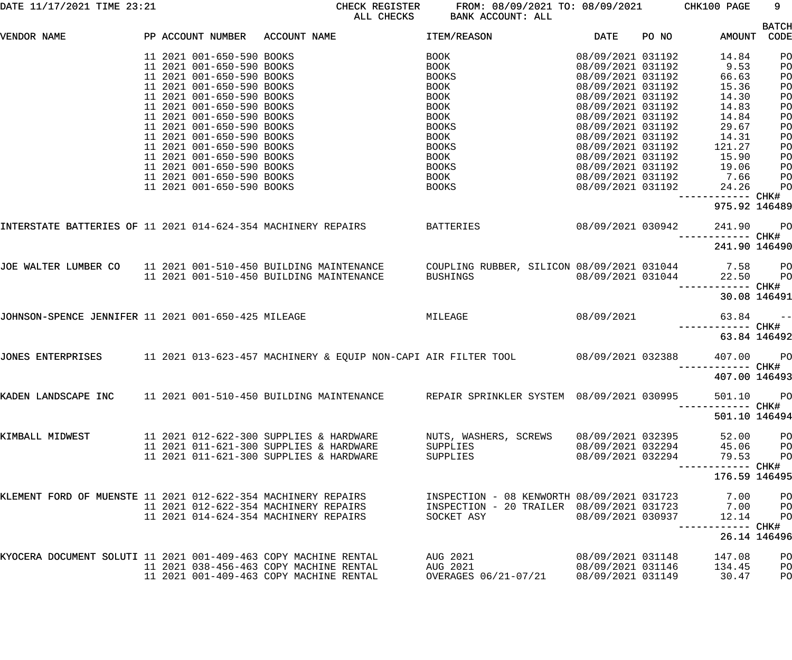| DATE 11/17/2021 TIME 23:21 |  |
|----------------------------|--|
|----------------------------|--|

CHECK REGISTER FROM:  $08/09/2021$  TO:  $08/09/2021$  CHK100 PAGE 9<br>ALL CHECKS BANK ACCOUNT: ALL BANK ACCOUNT: ALL

|                                                                 |  |                           |                                                                                                                  |                                            |                   |                   |                   | <b>BATCH</b>                                                      |
|-----------------------------------------------------------------|--|---------------------------|------------------------------------------------------------------------------------------------------------------|--------------------------------------------|-------------------|-------------------|-------------------|-------------------------------------------------------------------|
| VENDOR NAME                                                     |  |                           | PP ACCOUNT NUMBER ACCOUNT NAME                                                                                   | <b>ITEM/REASON</b>                         | DATE              | PO NO             | AMOUNT            | CODE                                                              |
|                                                                 |  | 11 2021 001-650-590 BOOKS |                                                                                                                  | BOOK                                       | 08/09/2021 031192 |                   | 14.84             | PO                                                                |
|                                                                 |  | 11 2021 001-650-590 BOOKS |                                                                                                                  | BOOK                                       | 08/09/2021 031192 |                   | 9.53              | PO                                                                |
|                                                                 |  | 11 2021 001-650-590 BOOKS |                                                                                                                  | BOOKS                                      | 08/09/2021 031192 |                   | 66.63             | PO                                                                |
|                                                                 |  | 11 2021 001-650-590 BOOKS |                                                                                                                  | BOOK                                       | 08/09/2021 031192 |                   | 15.36             |                                                                   |
|                                                                 |  | 11 2021 001-650-590 BOOKS |                                                                                                                  | BOOK                                       | 08/09/2021 031192 |                   | 14.30             | $\begin{array}{c}\n 10 \\  10 \\  10 \\  10 \\  10\n \end{array}$ |
|                                                                 |  | 11 2021 001-650-590 BOOKS |                                                                                                                  | BOOK                                       | 08/09/2021 031192 |                   | 14.83             |                                                                   |
|                                                                 |  |                           |                                                                                                                  |                                            |                   |                   |                   |                                                                   |
|                                                                 |  | 11 2021 001-650-590 BOOKS |                                                                                                                  | BOOK                                       | 08/09/2021 031192 |                   | 14.84             |                                                                   |
|                                                                 |  | 11 2021 001-650-590 BOOKS |                                                                                                                  | <b>BOOKS</b>                               | 08/09/2021 031192 |                   | 29.67             | PO                                                                |
|                                                                 |  | 11 2021 001-650-590 BOOKS |                                                                                                                  | BOOK                                       | 08/09/2021 031192 |                   | 14.31             | PO                                                                |
|                                                                 |  | 11 2021 001-650-590 BOOKS |                                                                                                                  | BOOKS                                      | 08/09/2021 031192 |                   | 121.27            | PO                                                                |
|                                                                 |  | 11 2021 001-650-590 BOOKS |                                                                                                                  | BOOK                                       | 08/09/2021 031192 |                   | 15.90             | PO                                                                |
|                                                                 |  | 11 2021 001-650-590 BOOKS |                                                                                                                  | BOOKS                                      | 08/09/2021 031192 |                   | 19.06             | PO                                                                |
|                                                                 |  | 11 2021 001-650-590 BOOKS |                                                                                                                  | BOOK                                       | 08/09/2021 031192 |                   | 7.66              | PO                                                                |
|                                                                 |  | 11 2021 001-650-590 BOOKS |                                                                                                                  | BOOKS                                      | 08/09/2021 031192 |                   | 24.26             | PO                                                                |
|                                                                 |  |                           |                                                                                                                  |                                            |                   |                   | ----------- CHK#  |                                                                   |
|                                                                 |  |                           |                                                                                                                  |                                            |                   |                   | 975.92 146489     |                                                                   |
|                                                                 |  |                           |                                                                                                                  |                                            |                   |                   |                   |                                                                   |
| INTERSTATE BATTERIES OF 11 2021 014-624-354 MACHINERY REPAIRS   |  |                           |                                                                                                                  | <b>BATTERIES</b><br>08/09/2021 030942      |                   |                   | 241.90            | PO                                                                |
|                                                                 |  |                           |                                                                                                                  |                                            |                   |                   | ------------ CHK# |                                                                   |
|                                                                 |  |                           |                                                                                                                  |                                            |                   |                   | 241.90 146490     |                                                                   |
|                                                                 |  |                           |                                                                                                                  |                                            |                   |                   |                   |                                                                   |
|                                                                 |  |                           | JOE WALTER LUMBER CO 11 2021 001-510-450 BUILDING MAINTENANCE COUPLING RUBBER, SILICON 08/09/2021 031044 7.58 PO |                                            |                   |                   |                   |                                                                   |
|                                                                 |  |                           | 11 2021 001-510-450 BUILDING MAINTENANCE                                                                         | <b>BUSHINGS</b>                            |                   | 08/09/2021 031044 | 22.50             | PO                                                                |
|                                                                 |  |                           |                                                                                                                  |                                            |                   |                   | ------------ CHK# |                                                                   |
|                                                                 |  |                           |                                                                                                                  |                                            |                   |                   |                   | 30.08 146491                                                      |
|                                                                 |  |                           |                                                                                                                  |                                            |                   |                   |                   |                                                                   |
| JOHNSON-SPENCE JENNIFER 11 2021 001-650-425 MILEAGE             |  |                           | <b>MILEAGE</b>                                                                                                   |                                            | 08/09/2021        |                   | 63.84             | $\sim$ $ -$                                                       |
|                                                                 |  |                           |                                                                                                                  |                                            |                   |                   | ------------ CHK# |                                                                   |
|                                                                 |  |                           |                                                                                                                  |                                            |                   |                   |                   | 63.84 146492                                                      |
|                                                                 |  |                           |                                                                                                                  |                                            |                   |                   |                   |                                                                   |
| JONES ENTERPRISES                                               |  |                           | 11 2021 013-623-457 MACHINERY & EQUIP NON-CAPI AIR FILTER TOOL       08/09/2021 032388                           |                                            |                   |                   | 407.00            | <b>PO</b>                                                         |
|                                                                 |  |                           |                                                                                                                  |                                            |                   |                   | ------------ CHK# |                                                                   |
|                                                                 |  |                           |                                                                                                                  |                                            |                   |                   | 407.00 146493     |                                                                   |
|                                                                 |  |                           |                                                                                                                  |                                            |                   |                   |                   |                                                                   |
|                                                                 |  |                           | KADEN LANDSCAPE INC 11 2021 001-510-450 BUILDING MAINTENANCE REPAIR SPRINKLER SYSTEM 08/09/2021 030995           |                                            |                   |                   | 501.10            | PO                                                                |
|                                                                 |  |                           |                                                                                                                  |                                            |                   |                   |                   |                                                                   |
|                                                                 |  |                           |                                                                                                                  |                                            |                   |                   |                   |                                                                   |
|                                                                 |  |                           |                                                                                                                  |                                            |                   |                   | 501.10 146494     |                                                                   |
|                                                                 |  |                           |                                                                                                                  |                                            |                   |                   |                   |                                                                   |
| KIMBALL MIDWEST                                                 |  |                           | 11  2021  012-622-300  SUPPLIES & HARDWARE                                                                       | NUTS, WASHERS, SCREWS                      | 08/09/2021 032395 |                   | 52.00             | PO                                                                |
|                                                                 |  |                           | 11 2021 011-621-300 SUPPLIES & HARDWARE                                                                          | SUPPLIES                                   |                   | 08/09/2021 032294 | 45.06             | PO                                                                |
|                                                                 |  |                           | 11 2021 011-621-300 SUPPLIES & HARDWARE                                                                          | SUPPLIES                                   | 08/09/2021 032294 |                   | 79.53             | PO                                                                |
|                                                                 |  |                           |                                                                                                                  |                                            |                   |                   | ------------ CHK# |                                                                   |
|                                                                 |  |                           |                                                                                                                  |                                            |                   |                   | 176.59 146495     |                                                                   |
|                                                                 |  |                           |                                                                                                                  |                                            |                   |                   |                   |                                                                   |
| KLEMENT FORD OF MUENSTE 11 2021 012-622-354 MACHINERY REPAIRS   |  |                           |                                                                                                                  | INSPECTION - 08 KENWORTH 08/09/2021 031723 |                   |                   | 7.00              | PO                                                                |
|                                                                 |  |                           | 11 2021 012-622-354 MACHINERY REPAIRS                                                                            | INSPECTION - 20 TRAILER 08/09/2021 031723  |                   |                   | 7.00              | PO                                                                |
|                                                                 |  |                           | 11 2021 014-624-354 MACHINERY REPAIRS                                                                            | SOCKET ASY                                 | 08/09/2021 030937 |                   | 12.14             | PO                                                                |
|                                                                 |  |                           |                                                                                                                  |                                            |                   |                   | ------------ CHK# |                                                                   |
|                                                                 |  |                           |                                                                                                                  |                                            |                   |                   |                   | 26.14 146496                                                      |
|                                                                 |  |                           |                                                                                                                  |                                            |                   |                   |                   |                                                                   |
| KYOCERA DOCUMENT SOLUTI 11 2021 001-409-463 COPY MACHINE RENTAL |  |                           |                                                                                                                  | AUG 2021                                   | 08/09/2021 031148 |                   | 147.08            | PO                                                                |
|                                                                 |  |                           | 11 2021 038-456-463 COPY MACHINE RENTAL                                                                          | AUG 2021                                   | 08/09/2021 031146 |                   | 134.45            | PO                                                                |
|                                                                 |  |                           | 11 2021 001-409-463 COPY MACHINE RENTAL                                                                          | OVERAGES 06/21-07/21                       | 08/09/2021 031149 |                   | 30.47             | PO                                                                |
|                                                                 |  |                           |                                                                                                                  |                                            |                   |                   |                   |                                                                   |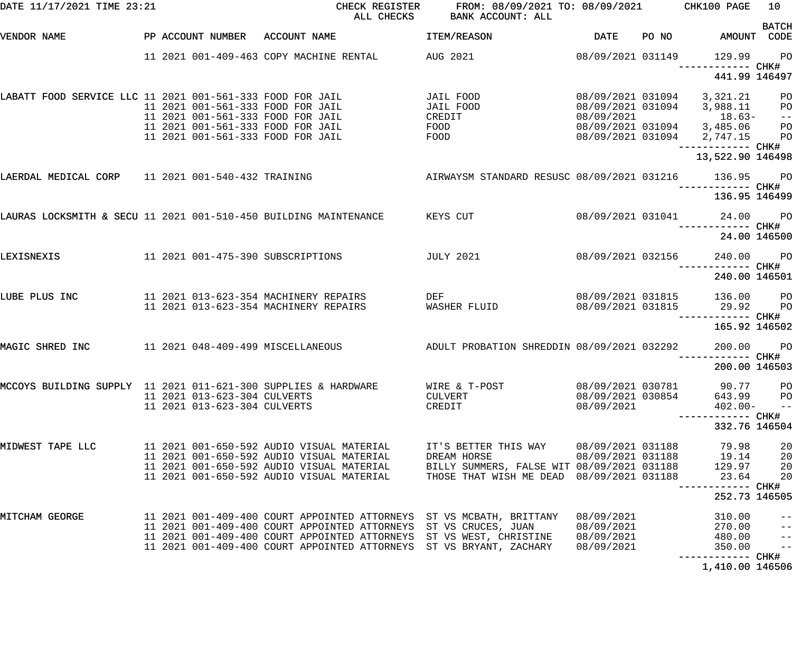| DATE 11/17/2021 TIME 23:21                                       |  |                                 | ALL CHECKS                                                                                                                               | CHECK REGISTER FROM: 08/09/2021 TO: 08/09/2021<br>BANK ACCOUNT: ALL |                          |       | CHK100 PAGE                       | 10 <sub>1</sub>                        |
|------------------------------------------------------------------|--|---------------------------------|------------------------------------------------------------------------------------------------------------------------------------------|---------------------------------------------------------------------|--------------------------|-------|-----------------------------------|----------------------------------------|
|                                                                  |  |                                 |                                                                                                                                          |                                                                     |                          |       |                                   | <b>BATCH</b>                           |
| VENDOR NAME                                                      |  |                                 | PP ACCOUNT NUMBER ACCOUNT NAME                                                                                                           | ITEM/REASON                                                         | DATE                     | PO NO | AMOUNT CODE                       |                                        |
|                                                                  |  |                                 | 11 2021 001-409-463 COPY MACHINE RENTAL                                                                                                  | AUG 2021                                                            | 08/09/2021 031149        |       | 129.99                            | P <sub>O</sub>                         |
|                                                                  |  |                                 |                                                                                                                                          |                                                                     |                          |       | ----------- CHK#<br>441.99 146497 |                                        |
| LABATT FOOD SERVICE LLC 11 2021 001-561-333 FOOD FOR JAIL        |  |                                 |                                                                                                                                          | JAIL FOOD                                                           |                          |       | 08/09/2021 031094 3,321.21 PO     |                                        |
|                                                                  |  |                                 | 11 2021 001-561-333 FOOD FOR JAIL                                                                                                        | JAIL FOOD                                                           |                          |       | 08/09/2021 031094 3,988.11        | P <sub>O</sub>                         |
|                                                                  |  |                                 | 11 2021 001-561-333 FOOD FOR JAIL                                                                                                        | CREDIT                                                              | 08/09/2021               |       | $18.63-$                          | $\qquad \qquad -$                      |
|                                                                  |  |                                 | 11 2021 001-561-333 FOOD FOR JAIL                                                                                                        | FOOD                                                                |                          |       | 08/09/2021 031094 3,485.06        | P <sub>O</sub>                         |
|                                                                  |  |                                 | 11 2021 001-561-333 FOOD FOR JAIL                                                                                                        | FOOD                                                                |                          |       | 08/09/2021 031094 2,747.15        | P <sub>O</sub>                         |
|                                                                  |  |                                 |                                                                                                                                          |                                                                     |                          |       | 13,522.90 146498                  |                                        |
| LAERDAL MEDICAL CORP 11 2021 001-540-432 TRAINING                |  |                                 |                                                                                                                                          | AIRWAYSM STANDARD RESUSC 08/09/2021 031216                          |                          |       | 136.95                            | PO <sub>1</sub>                        |
|                                                                  |  |                                 |                                                                                                                                          |                                                                     |                          |       | 136.95 146499                     |                                        |
| LAURAS LOCKSMITH & SECU 11 2021 001-510-450 BUILDING MAINTENANCE |  |                                 |                                                                                                                                          | KEYS CUT                                                            | 08/09/2021 031041        |       | 24.00                             | PO <sub>1</sub>                        |
|                                                                  |  |                                 |                                                                                                                                          |                                                                     |                          |       | 24.00 146500                      |                                        |
| LEXISNEXIS                                                       |  |                                 | 11  2021  001-475-390  SUBSCRIPTIONS                                                                                                     | <b>JULY 2021</b>                                                    | 08/09/2021 032156        |       | 240.00                            | PO                                     |
|                                                                  |  |                                 |                                                                                                                                          |                                                                     |                          |       | 240.00 146501                     |                                        |
| LUBE PLUS INC                                                    |  |                                 | 11  2021  013-623-354  MACHINERY REPAIRS                                                                                                 | DEF                                                                 | 08/09/2021 031815        |       | 136.00 PO                         |                                        |
|                                                                  |  |                                 | 11 2021 013-623-354 MACHINERY REPAIRS                                                                                                    | WASHER FLUID                                                        | 08/09/2021 031815        |       | 29.92                             | <b>PO</b>                              |
|                                                                  |  |                                 |                                                                                                                                          |                                                                     |                          |       |                                   |                                        |
|                                                                  |  |                                 |                                                                                                                                          |                                                                     |                          |       | 165.92 146502                     |                                        |
| MAGIC SHRED INC                                                  |  |                                 |                                                                                                                                          |                                                                     |                          |       | 200.00                            | $P$ O                                  |
|                                                                  |  |                                 |                                                                                                                                          |                                                                     |                          |       | 200.00 146503                     |                                        |
| MCCOYS BUILDING SUPPLY 11 2021 011-621-300 SUPPLIES & HARDWARE   |  |                                 |                                                                                                                                          | WIRE & T-POST                                                       | 08/09/2021 030781        |       | 90.77                             | PO                                     |
|                                                                  |  | 11 2021 013-623-304 CULVERTS    |                                                                                                                                          | CULVERT                                                             | 08/09/2021 030854        |       | 643.99                            | P <sub>O</sub>                         |
|                                                                  |  | 11  2021  013-623-304  CULVERTS |                                                                                                                                          | CREDIT                                                              | 08/09/2021               |       | $402.00 -$                        | $- -$                                  |
|                                                                  |  |                                 |                                                                                                                                          |                                                                     |                          |       | ----------  CHK#<br>332.76 146504 |                                        |
| MIDWEST TAPE LLC                                                 |  |                                 | 11 2021 001-650-592 AUDIO VISUAL MATERIAL                                                                                                | IT'S BETTER THIS WAY                                                | 08/09/2021 031188        |       | 79.98                             | 20                                     |
|                                                                  |  |                                 | 11 2021 001-650-592 AUDIO VISUAL MATERIAL                                                                                                | DREAM HORSE                                                         | 08/09/2021 031188        |       | 19.14                             | 20                                     |
|                                                                  |  |                                 | 11 2021 001-650-592 AUDIO VISUAL MATERIAL                                                                                                | BILLY SUMMERS, FALSE WIT 08/09/2021 031188                          |                          |       | 129.97                            | 20                                     |
|                                                                  |  |                                 | 11 2021 001-650-592 AUDIO VISUAL MATERIAL                                                                                                | THOSE THAT WISH ME DEAD 08/09/2021 031188                           |                          |       | 23.64                             | 20                                     |
|                                                                  |  |                                 |                                                                                                                                          |                                                                     |                          |       | ----------- CHK#<br>252.73 146505 |                                        |
| MITCHAM GEORGE                                                   |  |                                 |                                                                                                                                          |                                                                     |                          |       |                                   |                                        |
|                                                                  |  |                                 | 11 2021 001-409-400 COURT APPOINTED ATTORNEYS ST VS MCBATH, BRITTANY<br>11 2021 001-409-400 COURT APPOINTED ATTORNEYS ST VS CRUCES, JUAN |                                                                     | 08/09/2021<br>08/09/2021 |       | 310.00<br>270.00                  | $\qquad \qquad -$<br>$\qquad \qquad -$ |
|                                                                  |  |                                 | 11 2021 001-409-400 COURT APPOINTED ATTORNEYS                                                                                            | ST VS WEST, CHRISTINE                                               | 08/09/2021               |       | 480.00                            | $-$                                    |
|                                                                  |  |                                 | 11 2021 001-409-400 COURT APPOINTED ATTORNEYS                                                                                            | ST VS BRYANT, ZACHARY                                               | 08/09/2021               |       | 350.00                            | $ -$                                   |
|                                                                  |  |                                 |                                                                                                                                          |                                                                     |                          |       | 1,410.00 146506                   |                                        |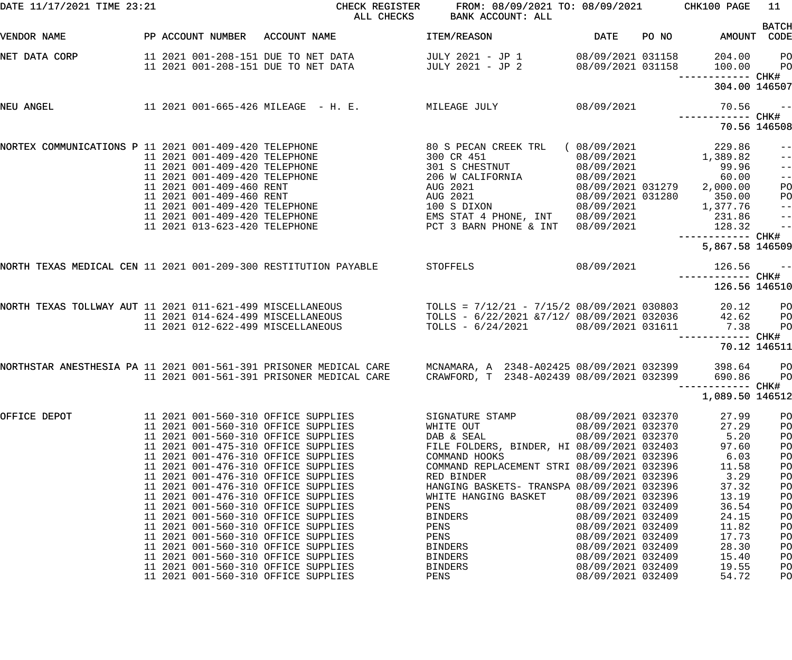| DATE 11/17/2021 TIME 23:21                                        |                                                                                                 | CHECK REGISTER<br>ALL CHECKS                                                                                                                             | FROM: 08/09/2021 TO: 08/09/2021<br>BANK ACCOUNT: ALL                                                                                |                                                                                  |       | CHK100 PAGE                                 | 11                                                                                                                                                                                                                                                                                                                                                                                                                                                                              |
|-------------------------------------------------------------------|-------------------------------------------------------------------------------------------------|----------------------------------------------------------------------------------------------------------------------------------------------------------|-------------------------------------------------------------------------------------------------------------------------------------|----------------------------------------------------------------------------------|-------|---------------------------------------------|---------------------------------------------------------------------------------------------------------------------------------------------------------------------------------------------------------------------------------------------------------------------------------------------------------------------------------------------------------------------------------------------------------------------------------------------------------------------------------|
| VENDOR NAME                                                       | PP ACCOUNT NUMBER                                                                               | ACCOUNT NAME                                                                                                                                             | ITEM/REASON                                                                                                                         | <b>DATE</b>                                                                      | PO NO | AMOUNT CODE                                 | <b>BATCH</b>                                                                                                                                                                                                                                                                                                                                                                                                                                                                    |
| NET DATA CORP                                                     |                                                                                                 | 11 2021 001-208-151 DUE TO NET DATA<br>11 2021 001-208-151 DUE TO NET DATA                                                                               | JULY 2021 - JP 1 08/09/2021 031158<br>JULY 2021 - JP 2                                                                              | 08/09/2021 031158                                                                |       | 204.00<br>100.00<br>------------ CHK#       | PO<br>PO                                                                                                                                                                                                                                                                                                                                                                                                                                                                        |
|                                                                   |                                                                                                 |                                                                                                                                                          |                                                                                                                                     |                                                                                  |       | 304.00 146507                               |                                                                                                                                                                                                                                                                                                                                                                                                                                                                                 |
| NEU ANGEL                                                         |                                                                                                 | 11  2021  001-665-426  MILEAGE - H. E.                                                                                                                   | MILEAGE JULY                                                                                                                        | 08/09/2021                                                                       |       | 70.56                                       | $\sim$ $ -$                                                                                                                                                                                                                                                                                                                                                                                                                                                                     |
|                                                                   |                                                                                                 |                                                                                                                                                          |                                                                                                                                     |                                                                                  |       | 70.56 146508                                |                                                                                                                                                                                                                                                                                                                                                                                                                                                                                 |
| NORTEX COMMUNICATIONS P 11 2021 001-409-420 TELEPHONE             | 11 2021 001-409-420 TELEPHONE<br>11 2021 001-409-420 TELEPHONE                                  |                                                                                                                                                          | 80 S PECAN CREEK TRL<br>300 CR 451<br>301 S CHESTNUT                                                                                | ( 08/09/2021<br>08/09/2021<br>08/09/2021                                         |       | 229.86<br>1,389.82<br>99.96                 | $-\:\:-$<br>$\qquad \qquad -$<br>$\qquad \qquad -$                                                                                                                                                                                                                                                                                                                                                                                                                              |
|                                                                   | 11 2021 001-409-420 TELEPHONE<br>11 2021 001-409-460 RENT<br>11 2021 001-409-460 RENT           |                                                                                                                                                          | 206 W CALIFORNIA<br>AUG 2021<br>AUG 2021                                                                                            | 08/09/2021<br>08/09/2021 031279<br>08/09/2021 031280                             |       | 60.00<br>2,000.00<br>350.00                 | $ -$<br>PO<br>PO                                                                                                                                                                                                                                                                                                                                                                                                                                                                |
|                                                                   | 11 2021 001-409-420 TELEPHONE<br>11 2021 001-409-420 TELEPHONE<br>11 2021 013-623-420 TELEPHONE |                                                                                                                                                          | 100 S DIXON<br>EMS STAT 4 PHONE, INT<br>PCT 3 BARN PHONE & INT                                                                      | 08/09/2021<br>08/09/2021<br>08/09/2021                                           |       | 1,377.76<br>231.86<br>128.32                | $\qquad \qquad -$<br>$-$<br>$\frac{1}{2}$                                                                                                                                                                                                                                                                                                                                                                                                                                       |
|                                                                   |                                                                                                 |                                                                                                                                                          |                                                                                                                                     |                                                                                  |       | 5,867.58 146509                             |                                                                                                                                                                                                                                                                                                                                                                                                                                                                                 |
| NORTH TEXAS MEDICAL CEN 11 2021 001-209-300 RESTITUTION PAYABLE   |                                                                                                 |                                                                                                                                                          | STOFFELS                                                                                                                            | 08/09/2021                                                                       |       | 126.56                                      | $\overline{\phantom{a}}$ $\overline{\phantom{a}}$ $\overline{\phantom{a}}$ $\overline{\phantom{a}}$ $\overline{\phantom{a}}$ $\overline{\phantom{a}}$ $\overline{\phantom{a}}$ $\overline{\phantom{a}}$ $\overline{\phantom{a}}$ $\overline{\phantom{a}}$ $\overline{\phantom{a}}$ $\overline{\phantom{a}}$ $\overline{\phantom{a}}$ $\overline{\phantom{a}}$ $\overline{\phantom{a}}$ $\overline{\phantom{a}}$ $\overline{\phantom{a}}$ $\overline{\phantom{a}}$ $\overline{\$ |
|                                                                   |                                                                                                 |                                                                                                                                                          |                                                                                                                                     |                                                                                  |       | 126.56 146510                               |                                                                                                                                                                                                                                                                                                                                                                                                                                                                                 |
| NORTH TEXAS TOLLWAY AUT 11 2021 011-621-499 MISCELLANEOUS         | 11 2021 012-622-499 MISCELLANEOUS                                                               | 11 2021 014-624-499 MISCELLANEOUS                                                                                                                        | TOLLS = $7/12/21$ - $7/15/2$ 08/09/2021 030803<br>TOLLS - 6/22/2021 &7/12/ 08/09/2021 032036<br>TOLLS - 6/24/2021 08/09/2021 031611 |                                                                                  |       | 20.12<br>42.62<br>7.38<br>------------ CHK# | PО<br>PО<br>PO                                                                                                                                                                                                                                                                                                                                                                                                                                                                  |
|                                                                   |                                                                                                 |                                                                                                                                                          |                                                                                                                                     |                                                                                  |       | 70.12 146511                                |                                                                                                                                                                                                                                                                                                                                                                                                                                                                                 |
| NORTHSTAR ANESTHESIA PA 11 2021 001-561-391 PRISONER MEDICAL CARE |                                                                                                 | 11 2021 001-561-391 PRISONER MEDICAL CARE                                                                                                                | MCNAMARA, A 2348-A02425 08/09/2021 032399<br>CRAWFORD, T 2348-A02439 08/09/2021 032399                                              |                                                                                  |       | 398.64<br>690.86 PO<br>----------- CHK#     | P <sub>O</sub>                                                                                                                                                                                                                                                                                                                                                                                                                                                                  |
|                                                                   |                                                                                                 |                                                                                                                                                          |                                                                                                                                     |                                                                                  |       | 1,089.50 146512                             |                                                                                                                                                                                                                                                                                                                                                                                                                                                                                 |
| OFFICE DEPOT                                                      |                                                                                                 | 11 2021 001-560-310 OFFICE SUPPLIES<br>11 2021 001-560-310 OFFICE SUPPLIES<br>11 2021 001-560-310 OFFICE SUPPLIES                                        | SIGNATURE STAMP<br>WHITE OUT<br>DAB & SEAL                                                                                          | 08/09/2021 032370<br>08/09/2021 032370<br>08/09/2021 032370                      |       | 27.99<br>27.29<br>5.20                      | PO<br>PO<br>PO                                                                                                                                                                                                                                                                                                                                                                                                                                                                  |
|                                                                   |                                                                                                 | 11 2021 001-475-310 OFFICE SUPPLIES<br>11 2021 001-476-310 OFFICE SUPPLIES<br>11 2021 001-476-310 OFFICE SUPPLIES<br>11 2021 001-476-310 OFFICE SUPPLIES | FILE FOLDERS, BINDER, HI 08/09/2021 032403<br>COMMAND HOOKS<br>COMMAND REPLACEMENT STRI 08/09/2021 032396<br>RED BINDER             | 08/09/2021 032396<br>08/09/2021 032396                                           |       | 97.60<br>6.03<br>11.58<br>3.29              | PO<br>PO<br>PO<br>PO                                                                                                                                                                                                                                                                                                                                                                                                                                                            |
|                                                                   |                                                                                                 | 11 2021 001-476-310 OFFICE SUPPLIES<br>11 2021 001-476-310 OFFICE SUPPLIES<br>11 2021 001-560-310 OFFICE SUPPLIES                                        | HANGING BASKETS- TRANSPA 08/09/2021 032396<br>WHITE HANGING BASKET<br>PENS                                                          | 08/09/2021 032396<br>08/09/2021 032409                                           |       | 37.32<br>13.19<br>36.54                     | PO<br>PO<br>PO                                                                                                                                                                                                                                                                                                                                                                                                                                                                  |
|                                                                   |                                                                                                 | 11 2021 001-560-310 OFFICE SUPPLIES<br>11 2021 001-560-310 OFFICE SUPPLIES<br>11 2021 001-560-310 OFFICE SUPPLIES                                        | <b>BINDERS</b><br>PENS<br>PENS                                                                                                      | 08/09/2021 032409<br>08/09/2021 032409<br>08/09/2021 032409                      |       | 24.15<br>11.82<br>17.73                     | PO<br>PO<br>PO                                                                                                                                                                                                                                                                                                                                                                                                                                                                  |
|                                                                   |                                                                                                 | 11 2021 001-560-310 OFFICE SUPPLIES<br>11 2021 001-560-310 OFFICE SUPPLIES<br>11 2021 001-560-310 OFFICE SUPPLIES<br>11 2021 001-560-310 OFFICE SUPPLIES | <b>BINDERS</b><br><b>BINDERS</b><br><b>BINDERS</b><br>PENS                                                                          | 08/09/2021 032409<br>08/09/2021 032409<br>08/09/2021 032409<br>08/09/2021 032409 |       | 28.30<br>15.40<br>19.55<br>54.72            | PO<br>PO<br>P <sub>O</sub><br>PO                                                                                                                                                                                                                                                                                                                                                                                                                                                |
|                                                                   |                                                                                                 |                                                                                                                                                          |                                                                                                                                     |                                                                                  |       |                                             |                                                                                                                                                                                                                                                                                                                                                                                                                                                                                 |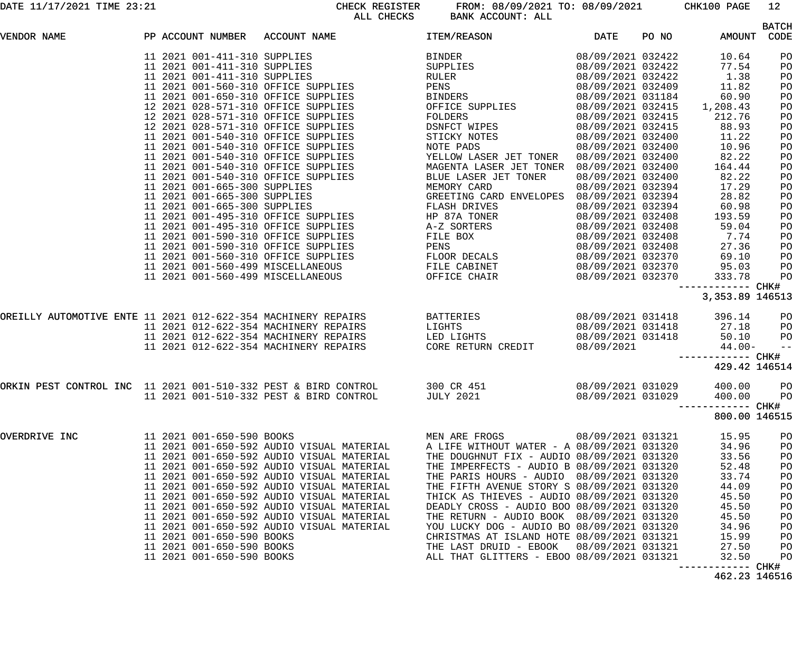DATE 11/17/2021 TIME 23:21 CHECK REGISTER FROM: 08/09/2021 TO: 08/09/2021 CHK100 PAGE 12 BANK ACCOUNT: ALL

|                                                                |  |                              |                                                               |                                            |                   |       |                          | <b>BATCH</b> |
|----------------------------------------------------------------|--|------------------------------|---------------------------------------------------------------|--------------------------------------------|-------------------|-------|--------------------------|--------------|
| VENDOR NAME                                                    |  | PP ACCOUNT NUMBER            | ACCOUNT NAME                                                  | ITEM/REASON                                | <b>DATE</b>       | PO NO | AMOUNT                   | CODE         |
|                                                                |  | 11 2021 001-411-310 SUPPLIES |                                                               | BINDER                                     | 08/09/2021 032422 |       | 10.64                    | PO           |
|                                                                |  |                              | 11 2021 001-411-310 SUPPLIES                                  | SUPPLIES                                   | 08/09/2021 032422 |       | 77.54                    | PO           |
|                                                                |  | 11 2021 001-411-310 SUPPLIES |                                                               | RULER                                      | 08/09/2021 032422 |       | 1.38                     | PO           |
|                                                                |  |                              | 11 2021 001-560-310 OFFICE SUPPLIES                           | PENS                                       | 08/09/2021 032409 |       | 11.82                    | PO           |
|                                                                |  |                              | 11 2021 001-650-310 OFFICE SUPPLIES                           | BINDERS                                    | 08/09/2021 031184 |       | 60.90                    | PO           |
|                                                                |  |                              | 12 2021 028-571-310 OFFICE SUPPLIES                           | OFFICE SUPPLIES                            | 08/09/2021 032415 |       | 1,208.43                 | PO           |
|                                                                |  |                              | 12 2021 028-571-310 OFFICE SUPPLIES                           | FOLDERS                                    | 08/09/2021 032415 |       | 212.76                   | PO           |
|                                                                |  |                              | 12 2021 028-571-310 OFFICE SUPPLIES                           | DSNFCT WIPES                               | 08/09/2021 032415 |       | 88.93                    | PO           |
|                                                                |  |                              | 11 2021 001-540-310 OFFICE SUPPLIES                           | STICKY NOTES                               | 08/09/2021 032400 |       | 11.22                    | PO           |
|                                                                |  |                              | 11 2021 001-540-310 OFFICE SUPPLIES                           | NOTE PADS                                  | 08/09/2021 032400 |       | 10.96                    | PO           |
|                                                                |  |                              | 11 2021 001-540-310 OFFICE SUPPLIES                           | YELLOW LASER JET TONER                     | 08/09/2021 032400 |       | 82.22                    | PO           |
|                                                                |  |                              | 11 2021 001-540-310 OFFICE SUPPLIES                           | MAGENTA LASER JET TONER 08/09/2021 032400  |                   |       | 164.44                   | PO           |
|                                                                |  |                              | 11 2021 001-540-310 OFFICE SUPPLIES                           | BLUE LASER JET TONER                       | 08/09/2021 032400 |       | 82.22                    | PO           |
|                                                                |  | 11 2021 001-665-300 SUPPLIES |                                                               | MEMORY CARD                                | 08/09/2021 032394 |       | 17.29                    | PO           |
|                                                                |  | 11 2021 001-665-300 SUPPLIES |                                                               | GREETING CARD ENVELOPES 08/09/2021 032394  |                   |       | 28.82                    | PO           |
|                                                                |  | 11 2021 001-665-300 SUPPLIES |                                                               | FLASH DRIVES                               | 08/09/2021 032394 |       | 60.98                    | PO           |
|                                                                |  |                              | 11 2021 001-495-310 OFFICE SUPPLIES                           | HP 87A TONER                               | 08/09/2021 032408 |       | 193.59                   | PO           |
|                                                                |  |                              | 11 2021 001-495-310 OFFICE SUPPLIES                           | A-Z SORTERS                                | 08/09/2021 032408 |       | 59.04                    | PO           |
|                                                                |  |                              | 11 2021 001-590-310 OFFICE SUPPLIES                           | FILE BOX                                   | 08/09/2021 032408 |       | 7.74                     | PO           |
|                                                                |  |                              | 11 2021 001-590-310 OFFICE SUPPLIES                           | PENS                                       | 08/09/2021 032408 |       | 27.36                    | PO           |
|                                                                |  |                              | 11 2021 001-560-310 OFFICE SUPPLIES                           | FLOOR DECALS                               | 08/09/2021 032370 |       | 69.10                    | PO           |
|                                                                |  |                              | 11 2021 001-560-499 MISCELLANEOUS                             | FILE CABINET                               | 08/09/2021 032370 |       | 95.03                    | PO           |
|                                                                |  |                              | 11 2021 001-560-499 MISCELLANEOUS                             | OFFICE CHAIR                               | 08/09/2021 032370 |       | 333.78                   | PO           |
|                                                                |  |                              |                                                               |                                            |                   |       | ------------ CHK#        |              |
|                                                                |  |                              |                                                               |                                            |                   |       | 3, 353.89 146513         |              |
|                                                                |  |                              | OREILLY AUTOMOTIVE ENTE 11 2021 012-622-354 MACHINERY REPAIRS | BATTERIES                                  | 08/09/2021 031418 |       | 396.14                   | PO           |
|                                                                |  |                              | 11 2021 012-622-354 MACHINERY REPAIRS                         | LIGHTS                                     | 08/09/2021 031418 |       | 27.18                    | PO           |
|                                                                |  |                              | 11 2021 012-622-354 MACHINERY REPAIRS                         | LED LIGHTS                                 | 08/09/2021 031418 |       | 50.10                    | PO           |
|                                                                |  |                              | 11 2021 012-622-354 MACHINERY REPAIRS                         | CORE RETURN CREDIT                         | 08/09/2021        |       | $44.00 -$                | $ -$         |
|                                                                |  |                              |                                                               |                                            |                   |       | ------------ CHK#        |              |
|                                                                |  |                              |                                                               |                                            |                   |       | 429.42 146514            |              |
| ORKIN PEST CONTROL INC 11 2021 001-510-332 PEST & BIRD CONTROL |  |                              |                                                               | 300 CR 451                                 | 08/09/2021 031029 |       | 400.00                   | PO           |
| 11 2021 001-510-332 PEST & BIRD CONTROL                        |  |                              |                                                               | JULY 2021                                  |                   |       | 08/09/2021 031029 400.00 | <b>PO</b>    |
|                                                                |  |                              |                                                               |                                            |                   |       | -----------  CHK#        |              |
|                                                                |  |                              |                                                               |                                            |                   |       | 800.00 146515            |              |
| OVERDRIVE INC                                                  |  | 11 2021 001-650-590 BOOKS    |                                                               | MEN ARE FROGS                              | 08/09/2021 031321 |       | 15.95                    | PO           |
|                                                                |  |                              | 11 2021 001-650-592 AUDIO VISUAL MATERIAL                     | A LIFE WITHOUT WATER - A 08/09/2021 031320 |                   |       | 34.96                    | PO           |
|                                                                |  |                              | 11 2021 001-650-592 AUDIO VISUAL MATERIAL                     | THE DOUGHNUT FIX - AUDIO 08/09/2021 031320 |                   |       | 33.56                    | PO           |
|                                                                |  |                              | 11 2021 001-650-592 AUDIO VISUAL MATERIAL                     | THE IMPERFECTS - AUDIO B 08/09/2021 031320 |                   |       | 52.48                    | PO           |
|                                                                |  |                              | 11 2021 001-650-592 AUDIO VISUAL MATERIAL                     | THE PARIS HOURS - AUDIO 08/09/2021 031320  |                   |       | 33.74                    | PO           |
|                                                                |  |                              | 11 2021 001-650-592 AUDIO VISUAL MATERIAL                     | THE FIFTH AVENUE STORY S 08/09/2021 031320 |                   |       | 44.09                    | PO           |
|                                                                |  |                              | 11 2021 001-650-592 AUDIO VISUAL MATERIAL                     | THICK AS THIEVES - AUDIO 08/09/2021 031320 |                   |       | 45.50                    | PO           |
|                                                                |  |                              | 11 2021 001-650-592 AUDIO VISUAL MATERIAL                     | DEADLY CROSS - AUDIO BOO 08/09/2021 031320 |                   |       | 45.50                    | PO           |
|                                                                |  |                              | 11 2021 001-650-592 AUDIO VISUAL MATERIAL                     | THE RETURN - AUDIO BOOK 08/09/2021 031320  |                   |       | 45.50                    | PO           |
|                                                                |  |                              | 11 2021 001-650-592 AUDIO VISUAL MATERIAL                     | YOU LUCKY DOG - AUDIO BO 08/09/2021 031320 |                   |       | 34.96                    | PO           |
|                                                                |  | 11 2021 001-650-590 BOOKS    |                                                               | CHRISTMAS AT ISLAND HOTE 08/09/2021 031321 |                   |       | 15.99                    | PO           |
|                                                                |  | 11 2021 001-650-590 BOOKS    |                                                               | THE LAST DRUID - EBOOK 08/09/2021 031321   |                   |       | 27.50                    | PO           |
|                                                                |  | 11 2021 001-650-590 BOOKS    |                                                               | ALL THAT GLITTERS - EBOO 08/09/2021 031321 |                   |       | 32.50                    | PO           |

------------ CHK#

462.23 146516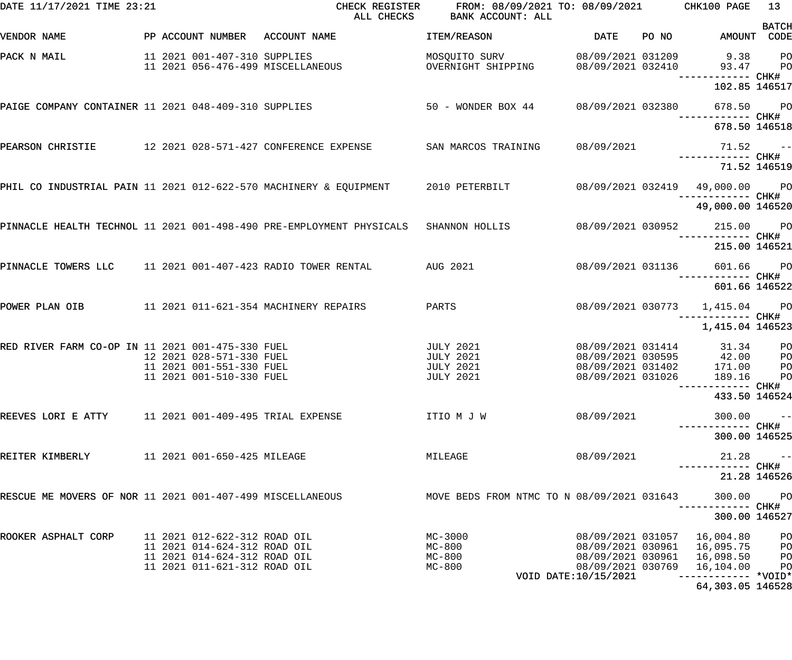| DATE 11/17/2021 TIME 23:21                                 |  |                                | CHECK REGISTER<br>ALL CHECKS                                                        | FROM: 08/09/2021 TO: 08/09/2021 CHK100 PAGE<br>BANK ACCOUNT: ALL |                                        |       |                                                    | 13                      |
|------------------------------------------------------------|--|--------------------------------|-------------------------------------------------------------------------------------|------------------------------------------------------------------|----------------------------------------|-------|----------------------------------------------------|-------------------------|
| VENDOR NAME                                                |  | PP ACCOUNT NUMBER              | ACCOUNT NAME                                                                        | ITEM/REASON                                                      | DATE                                   | PO NO | AMOUNT CODE                                        | <b>BATCH</b>            |
| PACK N MAIL                                                |  | 11 2021 001-407-310 SUPPLIES   | 11 2021 056-476-499 MISCELLANEOUS                                                   | MOSQUITO SURV<br>OVERNIGHT SHIPPING                              | 08/09/2021 031209<br>08/09/2021 032410 |       | 9.38<br>93.47                                      | P <sub>O</sub><br>$P$ O |
|                                                            |  |                                |                                                                                     |                                                                  |                                        |       | —————————— CHK#<br>102.85 146517                   |                         |
| PAIGE COMPANY CONTAINER 11 2021 048-409-310 SUPPLIES       |  |                                |                                                                                     | 50 - WONDER BOX 44 08/09/2021 032380                             |                                        |       | 678.50 PO                                          |                         |
|                                                            |  |                                |                                                                                     |                                                                  |                                        |       | 678.50 146518                                      |                         |
| PEARSON CHRISTIE                                           |  |                                | 12  2021  028-571-427  CONFERENCE EXPENSE                                           | SAN MARCOS TRAINING                                              | 08/09/2021                             |       | $71.52 - -$                                        |                         |
|                                                            |  |                                |                                                                                     |                                                                  |                                        |       | 71.52 146519                                       |                         |
|                                                            |  |                                | PHIL CO INDUSTRIAL PAIN 11 2021 012-622-570 MACHINERY & EQUIPMENT 2010 PETERBILT    |                                                                  | 08/09/2021 032419                      |       | 49,000.00 PO                                       |                         |
|                                                            |  |                                |                                                                                     |                                                                  |                                        |       | 49,000.00 146520                                   |                         |
|                                                            |  |                                | PINNACLE HEALTH TECHNOL 11 2021 001-498-490 PRE-EMPLOYMENT PHYSICALS SHANNON HOLLIS |                                                                  | 08/09/2021 030952                      |       | 215.00 PO                                          |                         |
|                                                            |  |                                |                                                                                     |                                                                  |                                        |       | 215.00 146521                                      |                         |
| PINNACLE TOWERS LLC 11 2021 001-407-423 RADIO TOWER RENTAL |  |                                |                                                                                     | AUG 2021                                                         | 08/09/2021 031136                      |       | 601.66 PO                                          |                         |
|                                                            |  |                                |                                                                                     |                                                                  |                                        |       | 601.66 146522                                      |                         |
| POWER PLAN OIB                                             |  |                                | 11 2021 011-621-354 MACHINERY REPAIRS                                               | PARTS                                                            |                                        |       | 08/09/2021 030773  1,415.04  PO<br>—————————— CHK# |                         |
|                                                            |  |                                |                                                                                     |                                                                  |                                        |       | 1,415.04 146523                                    |                         |
| RED RIVER FARM CO-OP IN 11 2021 001-475-330 FUEL           |  | 12 2021 028-571-330 FUEL       |                                                                                     | <b>JULY 2021</b><br><b>JULY 2021</b>                             | 08/09/2021 031414<br>08/09/2021 030595 |       | 31.34<br>42.00                                     | PO<br>PO                |
|                                                            |  | 11 2021 001-551-330 FUEL       |                                                                                     | <b>JULY 2021</b>                                                 | 08/09/2021 031402                      |       | 171.00                                             | P <sub>O</sub>          |
|                                                            |  | 11 2021 001-510-330 FUEL       |                                                                                     | <b>JULY 2021</b>                                                 | 08/09/2021 031026                      |       | 189.16                                             | <b>PO</b>               |
|                                                            |  |                                |                                                                                     |                                                                  |                                        |       | -----------         CHK#<br>433.50 146524          |                         |
| REEVES LORI E ATTY 11 2021 001-409-495 TRIAL EXPENSE       |  |                                |                                                                                     | ITIO M J W                                                       | 08/09/2021                             |       | 300.00                                             | $- -$                   |
|                                                            |  |                                |                                                                                     |                                                                  |                                        |       | 300.00 146525                                      |                         |
| REITER KIMBERLY                                            |  | 11  2021  001-650-425  MILEAGE |                                                                                     | MILEAGE                                                          | 08/09/2021                             |       | 21.28                                              | $ -$                    |
|                                                            |  |                                |                                                                                     |                                                                  |                                        |       | 21.28 146526                                       |                         |
| RESCUE ME MOVERS OF NOR 11 2021 001-407-499 MISCELLANEOUS  |  |                                |                                                                                     | MOVE BEDS FROM NTMC TO N 08/09/2021 031643                       |                                        |       | 300.00                                             | $P$ O                   |
|                                                            |  |                                |                                                                                     |                                                                  |                                        |       | ------------ CHK#<br>300.00 146527                 |                         |
| ROOKER ASPHALT CORP                                        |  | 11 2021 012-622-312 ROAD OIL   |                                                                                     | MC-3000                                                          | 08/09/2021 031057                      |       | 16,004.80                                          | PO                      |
|                                                            |  | 11 2021 014-624-312 ROAD OIL   |                                                                                     | MC-800                                                           | 08/09/2021 030961                      |       | 16,095.75                                          | PO                      |
|                                                            |  | 11 2021 014-624-312 ROAD OIL   |                                                                                     | $MC-800$                                                         |                                        |       | 08/09/2021 030961 16,098.50                        | P <sub>O</sub>          |
|                                                            |  | 11 2021 011-621-312 ROAD OIL   |                                                                                     | MC-800                                                           | 08/09/2021 030769                      |       | 16,104.00                                          | PO                      |
|                                                            |  |                                |                                                                                     |                                                                  | VOID DATE:10/15/2021                   |       | ------------ *VOID*                                |                         |
|                                                            |  |                                |                                                                                     |                                                                  |                                        |       | 64, 303.05 146528                                  |                         |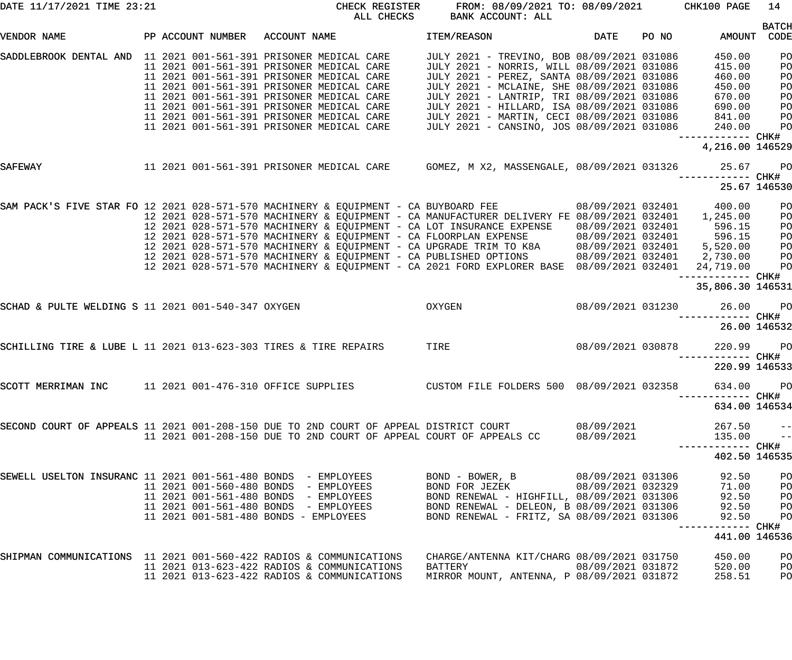| DATE 11/17/2021 TIME 23:21                                                                       |  |  |                   | CHECK REGISTER<br>FROM: 08/09/2021 TO: 08/09/2021<br>ALL CHECKS<br>BANK ACCOUNT: ALL |                                                                  |  |                |                                                                                           |                   | CHK100 PAGE | 14                               |                   |
|--------------------------------------------------------------------------------------------------|--|--|-------------------|--------------------------------------------------------------------------------------|------------------------------------------------------------------|--|----------------|-------------------------------------------------------------------------------------------|-------------------|-------------|----------------------------------|-------------------|
| VENDOR NAME                                                                                      |  |  | PP ACCOUNT NUMBER | ACCOUNT NAME                                                                         |                                                                  |  | ITEM/REASON    |                                                                                           | DATE              | PO NO       | AMOUNT CODE                      | <b>BATCH</b>      |
|                                                                                                  |  |  |                   |                                                                                      |                                                                  |  |                |                                                                                           |                   |             |                                  |                   |
| SADDLEBROOK DENTAL AND 11 2021 001-561-391 PRISONER MEDICAL CARE                                 |  |  |                   |                                                                                      |                                                                  |  |                | JULY 2021 - TREVINO, BOB 08/09/2021 031086                                                |                   |             | 450.00                           | PO                |
|                                                                                                  |  |  |                   |                                                                                      | 11 2021 001-561-391 PRISONER MEDICAL CARE                        |  |                | JULY 2021 - NORRIS, WILL 08/09/2021 031086                                                |                   |             | 415.00                           | PO                |
|                                                                                                  |  |  |                   |                                                                                      | 11 2021 001-561-391 PRISONER MEDICAL CARE                        |  |                | JULY 2021 - PEREZ, SANTA 08/09/2021 031086                                                |                   |             | 460.00                           | PO                |
|                                                                                                  |  |  |                   |                                                                                      | 11 2021 001-561-391 PRISONER MEDICAL CARE                        |  |                | JULY 2021 - MCLAINE, SHE 08/09/2021 031086                                                |                   |             | 450.00                           | PO                |
|                                                                                                  |  |  |                   |                                                                                      | 11 2021 001-561-391 PRISONER MEDICAL CARE                        |  |                | JULY 2021 - LANTRIP, TRI 08/09/2021 031086                                                |                   |             | 670.00                           | PO                |
|                                                                                                  |  |  |                   |                                                                                      | 11 2021 001-561-391 PRISONER MEDICAL CARE                        |  |                | JULY 2021 - HILLARD, ISA 08/09/2021 031086                                                |                   |             | 690.00                           | PO                |
|                                                                                                  |  |  |                   |                                                                                      | 11 2021 001-561-391 PRISONER MEDICAL CARE                        |  |                | JULY 2021 - MARTIN, CECI 08/09/2021 031086                                                |                   |             | 841.00                           | PO                |
|                                                                                                  |  |  |                   |                                                                                      | 11 2021 001-561-391 PRISONER MEDICAL CARE                        |  |                | JULY 2021 - CANSINO, JOS 08/09/2021 031086                                                |                   |             | 240.00                           | PO                |
|                                                                                                  |  |  |                   |                                                                                      |                                                                  |  |                |                                                                                           |                   |             | ------------ CHK#                |                   |
|                                                                                                  |  |  |                   |                                                                                      |                                                                  |  |                |                                                                                           |                   |             | 4,216.00 146529                  |                   |
| SAFEWAY                                                                                          |  |  |                   |                                                                                      |                                                                  |  |                | 11 2021 001-561-391 PRISONER MEDICAL CARE GOMEZ, M X2, MASSENGALE, 08/09/2021 031326      |                   |             | 25.67                            | <b>PO</b>         |
|                                                                                                  |  |  |                   |                                                                                      |                                                                  |  |                |                                                                                           |                   |             | ------------ CHK#                |                   |
|                                                                                                  |  |  |                   |                                                                                      |                                                                  |  |                |                                                                                           |                   |             |                                  | 25.67 146530      |
| SAM PACK'S FIVE STAR FO 12 2021 028-571-570 MACHINERY & EQUIPMENT - CA BUYBOARD FEE              |  |  |                   |                                                                                      |                                                                  |  |                |                                                                                           | 08/09/2021 032401 |             | 400.00                           | PO                |
|                                                                                                  |  |  |                   |                                                                                      |                                                                  |  |                | 12 2021 028-571-570 MACHINERY & EQUIPMENT - CA MANUFACTURER DELIVERY FE 08/09/2021 032401 |                   |             | 1,245.00                         | PO                |
|                                                                                                  |  |  |                   |                                                                                      |                                                                  |  |                | 12 2021 028-571-570 MACHINERY & EQUIPMENT - CA LOT INSURANCE EXPENSE                      | 08/09/2021 032401 |             | 596.15                           | PO                |
|                                                                                                  |  |  |                   |                                                                                      | 12 2021 028-571-570 MACHINERY & EQUIPMENT - CA FLOORPLAN EXPENSE |  |                |                                                                                           | 08/09/2021 032401 |             | 596.15                           | PO                |
|                                                                                                  |  |  |                   |                                                                                      |                                                                  |  |                | 12 2021 028-571-570 MACHINERY & EQUIPMENT - CA UPGRADE TRIM TO K8A                        | 08/09/2021 032401 |             | 5,520.00                         | PO                |
|                                                                                                  |  |  |                   |                                                                                      |                                                                  |  |                | 12 2021 028-571-570 MACHINERY & EQUIPMENT - CA PUBLISHED OPTIONS                          | 08/09/2021 032401 |             | 2,730.00                         | PO                |
|                                                                                                  |  |  |                   |                                                                                      |                                                                  |  |                | 12 2021 028-571-570 MACHINERY & EQUIPMENT - CA 2021 FORD EXPLORER BASE 08/09/2021 032401  |                   |             | 24,719.00                        | PO                |
|                                                                                                  |  |  |                   |                                                                                      |                                                                  |  |                |                                                                                           |                   |             | ------------ CHK#                |                   |
|                                                                                                  |  |  |                   |                                                                                      |                                                                  |  |                |                                                                                           |                   |             | 35,806.30 146531                 |                   |
| SCHAD & PULTE WELDING S 11 2021 001-540-347 OXYGEN                                               |  |  |                   |                                                                                      |                                                                  |  | OXYGEN         |                                                                                           | 08/09/2021 031230 |             | 26.00                            | <b>PO</b>         |
|                                                                                                  |  |  |                   |                                                                                      |                                                                  |  |                |                                                                                           |                   |             | ------ CHK#                      |                   |
|                                                                                                  |  |  |                   |                                                                                      |                                                                  |  |                |                                                                                           |                   |             |                                  | 26.00 146532      |
| SCHILLING TIRE & LUBE L 11 2021 013-623-303 TIRES & TIRE REPAIRS                                 |  |  |                   |                                                                                      |                                                                  |  | TIRE           |                                                                                           | 08/09/2021 030878 |             | 220.99                           | <b>PO</b>         |
|                                                                                                  |  |  |                   |                                                                                      |                                                                  |  |                |                                                                                           |                   |             | ------------ CHK#                |                   |
|                                                                                                  |  |  |                   |                                                                                      |                                                                  |  |                |                                                                                           |                   |             | 220.99 146533                    |                   |
| SCOTT MERRIMAN INC 3221 001-476-310 OFFICE SUPPLIES TO SUSTOM FILE FOLDERS 500 08/09/2021 032358 |  |  |                   |                                                                                      |                                                                  |  |                |                                                                                           |                   |             | 634.00                           | <b>PO</b>         |
|                                                                                                  |  |  |                   |                                                                                      |                                                                  |  |                |                                                                                           |                   |             |                                  |                   |
|                                                                                                  |  |  |                   |                                                                                      |                                                                  |  |                |                                                                                           |                   |             | 634.00 146534                    |                   |
| SECOND COURT OF APPEALS 11 2021 001-208-150 DUE TO 2ND COURT OF APPEAL DISTRICT COURT 68/09/2021 |  |  |                   |                                                                                      |                                                                  |  |                |                                                                                           |                   |             | 267.50                           | $\qquad \qquad -$ |
|                                                                                                  |  |  |                   |                                                                                      |                                                                  |  |                | 11 2021 001-208-150 DUE TO 2ND COURT OF APPEAL COURT OF APPEALS CC                        | 08/09/2021        |             | 135.00                           | $ -$              |
|                                                                                                  |  |  |                   |                                                                                      |                                                                  |  |                |                                                                                           |                   |             |                                  |                   |
|                                                                                                  |  |  |                   |                                                                                      |                                                                  |  |                |                                                                                           |                   |             | 402.50 146535                    |                   |
| SEWELL USELTON INSURANC 11 2021 001-561-480 BONDS - EMPLOYEES                                    |  |  |                   |                                                                                      |                                                                  |  |                | BOND - BOWER, B                                                                           | 08/09/2021 031306 |             | 92.50                            | PO                |
|                                                                                                  |  |  |                   |                                                                                      | 11 2021 001-560-480 BONDS - EMPLOYEES                            |  | BOND FOR JEZEK |                                                                                           | 08/09/2021 032329 |             | 71.00                            | PO                |
|                                                                                                  |  |  |                   |                                                                                      | 11 2021 001-561-480 BONDS - EMPLOYEES                            |  |                | BOND RENEWAL - HIGHFILL, 08/09/2021 031306                                                |                   |             | 92.50                            | PO                |
|                                                                                                  |  |  |                   |                                                                                      | 11 2021 001-561-480 BONDS - EMPLOYEES                            |  |                | BOND RENEWAL - DELEON, B 08/09/2021 031306                                                |                   |             | 92.50                            | P <sub>O</sub>    |
|                                                                                                  |  |  |                   |                                                                                      | 11  2021  001-581-480  BONDS - EMPLOYEES                         |  |                | BOND RENEWAL - FRITZ, SA 08/09/2021 031306                                                |                   |             | 92.50                            | PO                |
|                                                                                                  |  |  |                   |                                                                                      |                                                                  |  |                |                                                                                           |                   |             | —————————— CHK#<br>441.00 146536 |                   |
| SHIPMAN COMMUNICATIONS 11 2021 001-560-422 RADIOS & COMMUNICATIONS                               |  |  |                   |                                                                                      |                                                                  |  |                | CHARGE/ANTENNA KIT/CHARG 08/09/2021 031750                                                |                   |             | 450.00                           | PO                |
|                                                                                                  |  |  |                   |                                                                                      | 11 2021 013-623-422 RADIOS & COMMUNICATIONS                      |  | BATTERY        |                                                                                           | 08/09/2021 031872 |             | 520.00                           | PO                |
|                                                                                                  |  |  |                   |                                                                                      | 11 2021 013-623-422 RADIOS & COMMUNICATIONS                      |  |                | MIRROR MOUNT, ANTENNA, P 08/09/2021 031872                                                |                   |             | 258.51                           | PO                |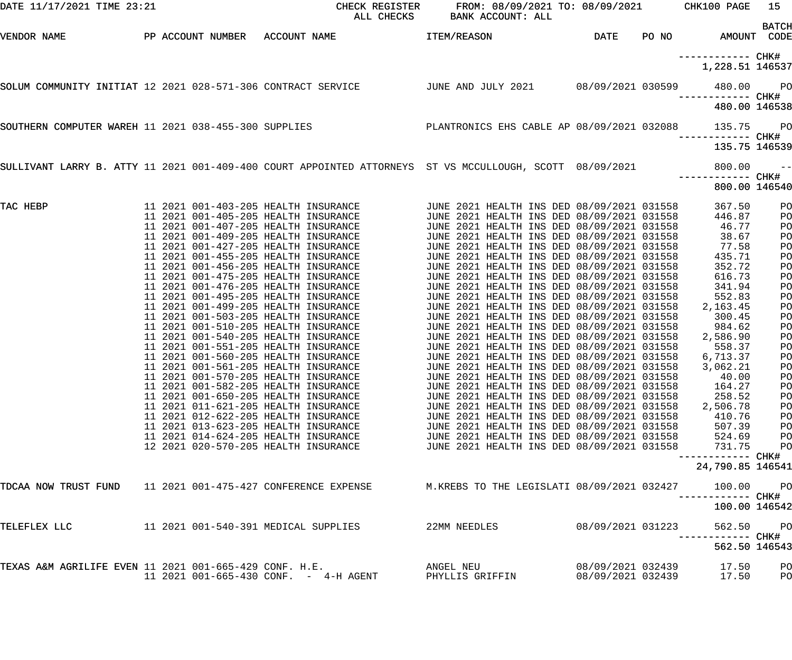| DATE 11/17/2021 TIME 23:21                             |  |  |  | CHECK REGISTER                                                                                                                                                                                                                                                                                                                                                                                                                                                                                                                                                                                                                                                                                                                                                                                                                                                                                                                                                                                                                                                                                                                                 | FROM: 08/09/2021 TO: 08/09/2021 CHK100 PAGE<br>ALL CHECKS BANK ACCOUNT: ALL                                                                                                                                                                                                                                                                                                                                                                                                                                                                                                                                                                                                                                                                                                                                                                                                                                                                                                                                                                                                                    |                                        |                                                                                                                                                                                                                                                              | 15<br><b>BATCH</b>                                                                                                                                 |
|--------------------------------------------------------|--|--|--|------------------------------------------------------------------------------------------------------------------------------------------------------------------------------------------------------------------------------------------------------------------------------------------------------------------------------------------------------------------------------------------------------------------------------------------------------------------------------------------------------------------------------------------------------------------------------------------------------------------------------------------------------------------------------------------------------------------------------------------------------------------------------------------------------------------------------------------------------------------------------------------------------------------------------------------------------------------------------------------------------------------------------------------------------------------------------------------------------------------------------------------------|------------------------------------------------------------------------------------------------------------------------------------------------------------------------------------------------------------------------------------------------------------------------------------------------------------------------------------------------------------------------------------------------------------------------------------------------------------------------------------------------------------------------------------------------------------------------------------------------------------------------------------------------------------------------------------------------------------------------------------------------------------------------------------------------------------------------------------------------------------------------------------------------------------------------------------------------------------------------------------------------------------------------------------------------------------------------------------------------|----------------------------------------|--------------------------------------------------------------------------------------------------------------------------------------------------------------------------------------------------------------------------------------------------------------|----------------------------------------------------------------------------------------------------------------------------------------------------|
| VENDOR NAME                                            |  |  |  | PP ACCOUNT NUMBER ACCOUNT NAME TEM/REASON                                                                                                                                                                                                                                                                                                                                                                                                                                                                                                                                                                                                                                                                                                                                                                                                                                                                                                                                                                                                                                                                                                      |                                                                                                                                                                                                                                                                                                                                                                                                                                                                                                                                                                                                                                                                                                                                                                                                                                                                                                                                                                                                                                                                                                |                                        | DATE PONO AMOUNT CODE                                                                                                                                                                                                                                        |                                                                                                                                                    |
|                                                        |  |  |  |                                                                                                                                                                                                                                                                                                                                                                                                                                                                                                                                                                                                                                                                                                                                                                                                                                                                                                                                                                                                                                                                                                                                                |                                                                                                                                                                                                                                                                                                                                                                                                                                                                                                                                                                                                                                                                                                                                                                                                                                                                                                                                                                                                                                                                                                |                                        | 1,228.51 146537                                                                                                                                                                                                                                              |                                                                                                                                                    |
|                                                        |  |  |  | SOLUM COMMUNITY INITIAT 12 2021 028-571-306 CONTRACT SERVICE <b>1990 JUNE AND JULY 2021</b> 108/09/2021 030599 480.00 PO                                                                                                                                                                                                                                                                                                                                                                                                                                                                                                                                                                                                                                                                                                                                                                                                                                                                                                                                                                                                                       |                                                                                                                                                                                                                                                                                                                                                                                                                                                                                                                                                                                                                                                                                                                                                                                                                                                                                                                                                                                                                                                                                                |                                        |                                                                                                                                                                                                                                                              |                                                                                                                                                    |
|                                                        |  |  |  |                                                                                                                                                                                                                                                                                                                                                                                                                                                                                                                                                                                                                                                                                                                                                                                                                                                                                                                                                                                                                                                                                                                                                |                                                                                                                                                                                                                                                                                                                                                                                                                                                                                                                                                                                                                                                                                                                                                                                                                                                                                                                                                                                                                                                                                                |                                        | ------------ CHK#<br>480.00 146538                                                                                                                                                                                                                           |                                                                                                                                                    |
|                                                        |  |  |  | SOUTHERN COMPUTER WAREH 11 2021 038-455-300 SUPPLIES FLANTRONICS EHS CABLE AP 08/09/2021 032088 135.75                                                                                                                                                                                                                                                                                                                                                                                                                                                                                                                                                                                                                                                                                                                                                                                                                                                                                                                                                                                                                                         |                                                                                                                                                                                                                                                                                                                                                                                                                                                                                                                                                                                                                                                                                                                                                                                                                                                                                                                                                                                                                                                                                                |                                        | ------------ CHK#                                                                                                                                                                                                                                            | <b>PO</b>                                                                                                                                          |
|                                                        |  |  |  |                                                                                                                                                                                                                                                                                                                                                                                                                                                                                                                                                                                                                                                                                                                                                                                                                                                                                                                                                                                                                                                                                                                                                |                                                                                                                                                                                                                                                                                                                                                                                                                                                                                                                                                                                                                                                                                                                                                                                                                                                                                                                                                                                                                                                                                                |                                        | 135.75 146539                                                                                                                                                                                                                                                |                                                                                                                                                    |
|                                                        |  |  |  | -- 800.00 -- 800.00 SULLIVANT LARRY B. ATTY 11 2021 001-409-400 COURT APPOINTED ATTORNEYS ST VS MCCULLOUGH, SCOTT 08/09/2021                                                                                                                                                                                                                                                                                                                                                                                                                                                                                                                                                                                                                                                                                                                                                                                                                                                                                                                                                                                                                   |                                                                                                                                                                                                                                                                                                                                                                                                                                                                                                                                                                                                                                                                                                                                                                                                                                                                                                                                                                                                                                                                                                |                                        |                                                                                                                                                                                                                                                              | $ -$                                                                                                                                               |
|                                                        |  |  |  |                                                                                                                                                                                                                                                                                                                                                                                                                                                                                                                                                                                                                                                                                                                                                                                                                                                                                                                                                                                                                                                                                                                                                |                                                                                                                                                                                                                                                                                                                                                                                                                                                                                                                                                                                                                                                                                                                                                                                                                                                                                                                                                                                                                                                                                                |                                        | 800.00 146540                                                                                                                                                                                                                                                |                                                                                                                                                    |
| TAC HEBP                                               |  |  |  | 11 2021 001-403-205 HEALTH INSURANCE             JUNE 2021 HEALTH INS DED 08/09/2021 031558<br>11 2021 001-405-205 HEALTH INSURANCE         JUNE 2021 HEALTH INS DED 08/09/2021 031558<br>11 2021 001-407-205 HEALTH INSURANCE<br>11 2021 001-409-205 HEALTH INSURANCE<br>11 2021 001-427-205 HEALTH INSURANCE<br>11 2021 001-455-205 HEALTH INSURANCE<br>11 2021 001-456-205 HEALTH INSURANCE<br>11 2021 001-475-205 HEALTH INSURANCE<br>11 2021 001-476-205 HEALTH INSURANCE<br>11 2021 001-495-205 HEALTH INSURANCE<br>11 2021 001-499-205 HEALTH INSURANCE<br>11 2021 001-503-205 HEALTH INSURANCE<br>11 2021 001-510-205 HEALTH INSURANCE<br>11 2021 001-540-205 HEALTH INSURANCE<br>11 2021 001-551-205 HEALTH INSURANCE<br>11 2021 001-560-205 HEALTH INSURANCE<br>11 2021 001-561-205 HEALTH INSURANCE<br>11 2021 001-570-205 HEALTH INSURANCE<br>11 2021 001-582-205 HEALTH INSURANCE<br>11 2021 001-650-205 HEALTH INSURANCE<br>11 2021 011-621-205 HEALTH INSURANCE<br>11 2021 012-622-205 HEALTH INSURANCE<br>11 2021 013-623-205 HEALTH INSURANCE<br>11 2021 014-624-205 HEALTH INSURANCE<br>12 2021 020-570-205 HEALTH INSURANCE | JUNE 2021 HEALTH INS DED 08/09/2021 031558<br>JUNE 2021 HEALTH INS DED 08/09/2021 031558<br>JUNE 2021 HEALTH INS DED 08/09/2021 031558<br>JUNE 2021 HEALTH INS DED 08/09/2021 031558<br>JUNE 2021 HEALTH INS DED 08/09/2021 031558<br>JUNE 2021 HEALTH INS DED 08/09/2021 031558<br>JUNE 2021 HEALTH INS DED 08/09/2021 031558<br>JUNE 2021 HEALTH INS DED 08/09/2021 031558<br>JUNE 2021 HEALTH INS DED 08/09/2021 031558<br>JUNE 2021 HEALTH INS DED 08/09/2021 031558<br>JUNE 2021 HEALTH INS DED 08/09/2021 031558<br>JUNE 2021 HEALTH INS DED 08/09/2021 031558<br>JUNE 2021 HEALTH INS DED 08/09/2021 031558<br>JUNE 2021 HEALTH INS DED 08/09/2021 031558<br>JUNE 2021 HEALTH INS DED 08/09/2021 031558<br>JUNE 2021 HEALTH INS DED 08/09/2021 031558<br>JUNE 2021 HEALTH INS DED 08/09/2021 031558<br>JUNE 2021 HEALTH INS DED 08/09/2021 031558<br>JUNE 2021 HEALTH INS DED 08/09/2021 031558<br>JUNE 2021 HEALTH INS DED 08/09/2021 031558<br>JUNE 2021 HEALTH INS DED 08/09/2021 031558<br>JUNE 2021 HEALTH INS DED 08/09/2021 031558<br>JUNE 2021 HEALTH INS DED 08/09/2021 031558 |                                        | 367.50<br>446.87<br>46.77<br>38.67<br>77.58<br>435.71<br>352.72<br>616.73<br>341.94<br>552.83<br>2,163.45<br>300.45<br>984.62<br>2,586.90<br>558.37<br>6,713.37<br>3,062.21<br>40.00<br>164.27<br>258.52<br>2,506.78<br>410.76<br>507.39<br>524.69<br>731.75 | PO<br>PO<br>PO<br>PO<br>PO<br>PO<br>PO<br>PO<br>PO<br>PO<br>PO<br>PO<br>PO<br>PO<br>PO<br>PO<br>PO<br>PO<br>PO<br>PO<br>PO<br>PO<br>PO<br>PO<br>PO |
| TDCAA NOW TRUST FUND                                   |  |  |  | 11 2021 001-475-427 CONFERENCE EXPENSE                                                                                                                                                                                                                                                                                                                                                                                                                                                                                                                                                                                                                                                                                                                                                                                                                                                                                                                                                                                                                                                                                                         | M.KREBS TO THE LEGISLATI 08/09/2021 032427                                                                                                                                                                                                                                                                                                                                                                                                                                                                                                                                                                                                                                                                                                                                                                                                                                                                                                                                                                                                                                                     |                                        | 24,790.85 146541<br>100.00                                                                                                                                                                                                                                   | P <sub>O</sub>                                                                                                                                     |
|                                                        |  |  |  |                                                                                                                                                                                                                                                                                                                                                                                                                                                                                                                                                                                                                                                                                                                                                                                                                                                                                                                                                                                                                                                                                                                                                |                                                                                                                                                                                                                                                                                                                                                                                                                                                                                                                                                                                                                                                                                                                                                                                                                                                                                                                                                                                                                                                                                                |                                        | 100.00 146542                                                                                                                                                                                                                                                |                                                                                                                                                    |
| TELEFLEX LLC                                           |  |  |  | 11 2021 001-540-391 MEDICAL SUPPLIES                                                                                                                                                                                                                                                                                                                                                                                                                                                                                                                                                                                                                                                                                                                                                                                                                                                                                                                                                                                                                                                                                                           | 22MM NEEDLES                                                                                                                                                                                                                                                                                                                                                                                                                                                                                                                                                                                                                                                                                                                                                                                                                                                                                                                                                                                                                                                                                   | 08/09/2021 031223                      | 562.50<br>------------                                                                                                                                                                                                                                       | P <sub>O</sub><br>CHK#                                                                                                                             |
|                                                        |  |  |  |                                                                                                                                                                                                                                                                                                                                                                                                                                                                                                                                                                                                                                                                                                                                                                                                                                                                                                                                                                                                                                                                                                                                                |                                                                                                                                                                                                                                                                                                                                                                                                                                                                                                                                                                                                                                                                                                                                                                                                                                                                                                                                                                                                                                                                                                |                                        | 562.50 146543                                                                                                                                                                                                                                                |                                                                                                                                                    |
| TEXAS A&M AGRILIFE EVEN 11 2021 001-665-429 CONF. H.E. |  |  |  | 11 2021 001-665-430 CONF. - 4-H AGENT                                                                                                                                                                                                                                                                                                                                                                                                                                                                                                                                                                                                                                                                                                                                                                                                                                                                                                                                                                                                                                                                                                          | ANGEL NEU<br>PHYLLIS GRIFFIN                                                                                                                                                                                                                                                                                                                                                                                                                                                                                                                                                                                                                                                                                                                                                                                                                                                                                                                                                                                                                                                                   | 08/09/2021 032439<br>08/09/2021 032439 | 17.50<br>17.50                                                                                                                                                                                                                                               | PO<br>PO                                                                                                                                           |
|                                                        |  |  |  |                                                                                                                                                                                                                                                                                                                                                                                                                                                                                                                                                                                                                                                                                                                                                                                                                                                                                                                                                                                                                                                                                                                                                |                                                                                                                                                                                                                                                                                                                                                                                                                                                                                                                                                                                                                                                                                                                                                                                                                                                                                                                                                                                                                                                                                                |                                        |                                                                                                                                                                                                                                                              |                                                                                                                                                    |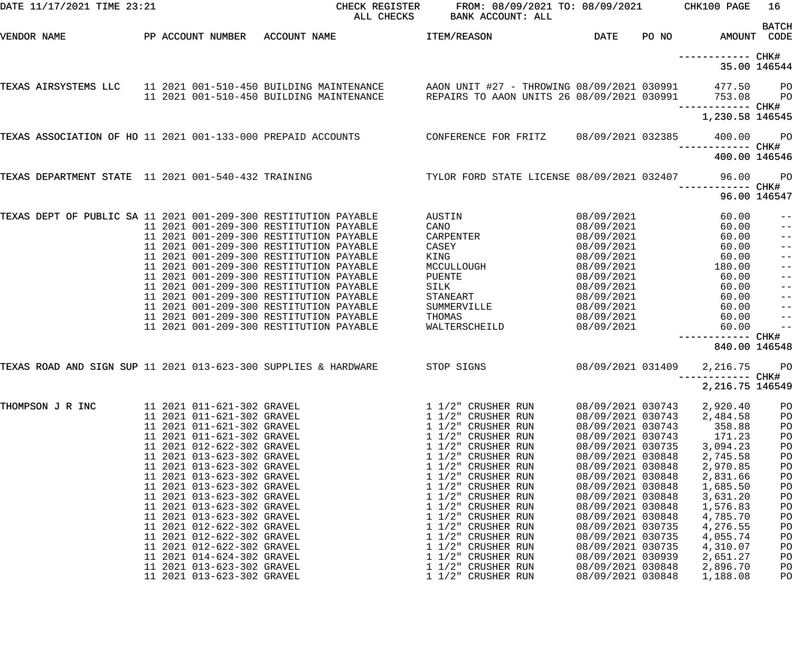| DATE 11/17/2021 TIME 23:21                                      |  |                            | CHECK REGISTER<br>ALL CHECKS                                                         | FROM: 08/09/2021 TO: 08/09/2021<br>BANK ACCOUNT: ALL                                     |                                                      |       | CHK100 PAGE                       | 16                      |
|-----------------------------------------------------------------|--|----------------------------|--------------------------------------------------------------------------------------|------------------------------------------------------------------------------------------|------------------------------------------------------|-------|-----------------------------------|-------------------------|
| VENDOR NAME                                                     |  | PP ACCOUNT NUMBER          | ACCOUNT NAME                                                                         | <b>ITEM/REASON</b>                                                                       | DATE                                                 | PO NO | AMOUNT CODE                       | <b>BATCH</b>            |
|                                                                 |  |                            |                                                                                      |                                                                                          |                                                      |       | ------------ CHK#<br>35.00 146544 |                         |
| TEXAS AIRSYSTEMS LLC                                            |  |                            | 11 2021 001-510-450 BUILDING MAINTENANCE<br>11 2021 001-510-450 BUILDING MAINTENANCE | AAON UNIT #27 - THROWING 08/09/2021 030991<br>REPAIRS TO AAON UNITS 26 08/09/2021 030991 |                                                      |       | 477.50<br>753.08                  | $P$ O<br>P <sub>O</sub> |
|                                                                 |  |                            |                                                                                      |                                                                                          |                                                      |       | 1,230.58 146545                   |                         |
|                                                                 |  |                            | TEXAS ASSOCIATION OF HO 11 2021 001-133-000 PREPAID ACCOUNTS CONFERENCE FOR FRITZ    |                                                                                          | 08/09/2021 032385                                    |       | 400.00<br>------- CHK#            | PO                      |
|                                                                 |  |                            |                                                                                      |                                                                                          |                                                      |       | 400.00 146546                     |                         |
| TEXAS DEPARTMENT STATE 11 2021 001-540-432 TRAINING             |  |                            |                                                                                      | TYLOR FORD STATE LICENSE 08/09/2021 032407                                               |                                                      |       | 96.00<br>------------             | P <sub>O</sub><br>CHK#  |
|                                                                 |  |                            |                                                                                      |                                                                                          |                                                      |       | 96.00 146547                      |                         |
| TEXAS DEPT OF PUBLIC SA 11 2021 001-209-300 RESTITUTION PAYABLE |  |                            |                                                                                      | AUSTIN                                                                                   | 08/09/2021<br>08/09/2021<br>08/09/2021<br>08/09/2021 |       | 60.00                             | $- -$                   |
|                                                                 |  |                            | 11 2021 001-209-300 RESTITUTION PAYABLE                                              | CANO                                                                                     |                                                      |       | 60.00                             | $\qquad \qquad -$       |
|                                                                 |  |                            | 11 2021 001-209-300 RESTITUTION PAYABLE                                              | CARPENTER                                                                                |                                                      |       | 60.00                             | $\qquad \qquad -$       |
|                                                                 |  |                            | 11 2021 001-209-300 RESTITUTION PAYABLE                                              | CASEY                                                                                    |                                                      |       | 60.00                             | $\qquad \qquad -$       |
|                                                                 |  |                            | 11 2021 001-209-300 RESTITUTION PAYABLE                                              | KING                                                                                     | 08/09/2021                                           |       | 60.00                             | $\qquad \qquad -$       |
|                                                                 |  |                            | 11 2021 001-209-300 RESTITUTION PAYABLE                                              | MCCULLOUGH                                                                               | 08/09/2021                                           |       | 180.00                            | $\qquad \qquad -$       |
|                                                                 |  |                            | 11 2021 001-209-300 RESTITUTION PAYABLE                                              | PUENTE                                                                                   | 08/09/2021                                           |       | 60.00                             | $\qquad \qquad -$       |
|                                                                 |  |                            | 11 2021 001-209-300 RESTITUTION PAYABLE                                              | SILK                                                                                     | 08/09/2021                                           |       | 60.00                             | $\qquad \qquad -$       |
|                                                                 |  |                            | 11 2021 001-209-300 RESTITUTION PAYABLE                                              | STANEART                                                                                 | 08/09/2021                                           |       | 60.00                             | $\qquad \qquad -$       |
|                                                                 |  |                            | 11 2021 001-209-300 RESTITUTION PAYABLE                                              | SUMMERVILLE                                                                              | 08/09/2021                                           |       | 60.00                             | $ -$                    |
|                                                                 |  |                            | 11 2021 001-209-300 RESTITUTION PAYABLE                                              | THOMAS                                                                                   | 08/09/2021                                           |       | 60.00                             | $ -$                    |
|                                                                 |  |                            | 11 2021 001-209-300 RESTITUTION PAYABLE                                              | WALTERSCHEILD                                                                            | 08/09/2021                                           |       | 60.00                             | $\qquad \qquad -$       |
|                                                                 |  |                            |                                                                                      |                                                                                          |                                                      |       |                                   |                         |
|                                                                 |  |                            |                                                                                      |                                                                                          |                                                      |       | 840.00 146548                     |                         |
| TEXAS ROAD AND SIGN SUP 11 2021 013-623-300 SUPPLIES & HARDWARE |  |                            |                                                                                      | STOP SIGNS                                                                               | 08/09/2021 031409                                    |       | 2,216.75<br>------------ CHK#     | P <sub>O</sub>          |
|                                                                 |  |                            |                                                                                      |                                                                                          |                                                      |       | 2,216.75 146549                   |                         |
| THOMPSON J R INC                                                |  | 11 2021 011-621-302 GRAVEL |                                                                                      | 1 1/2" CRUSHER RUN                                                                       | 08/09/2021 030743                                    |       | 2,920.40                          | PO                      |
|                                                                 |  | 11 2021 011-621-302 GRAVEL |                                                                                      | 1 1/2" CRUSHER RUN                                                                       | 08/09/2021 030743                                    |       | 2,484.58                          | PO                      |
|                                                                 |  | 11 2021 011-621-302 GRAVEL |                                                                                      | 1 1/2" CRUSHER RUN                                                                       | 08/09/2021 030743                                    |       | 358.88                            | PO                      |
|                                                                 |  | 11 2021 011-621-302 GRAVEL |                                                                                      | 1 1/2" CRUSHER RUN                                                                       | 08/09/2021 030743                                    |       | 171.23                            | PO                      |
|                                                                 |  | 11 2021 012-622-302 GRAVEL |                                                                                      | 1 1/2" CRUSHER RUN                                                                       | 08/09/2021 030735                                    |       | 3,094.23                          | PO                      |
|                                                                 |  | 11 2021 013-623-302 GRAVEL |                                                                                      | 1 1/2" CRUSHER RUN                                                                       | 08/09/2021 030848                                    |       | 2,745.58                          | PO                      |
|                                                                 |  | 11 2021 013-623-302 GRAVEL |                                                                                      | 1 1/2" CRUSHER RUN                                                                       | 08/09/2021 030848                                    |       | 2,970.85                          | PO                      |
|                                                                 |  | 11 2021 013-623-302 GRAVEL |                                                                                      | 1 1/2" CRUSHER RUN                                                                       | 08/09/2021 030848                                    |       | 2,831.66                          | PO                      |
|                                                                 |  | 11 2021 013-623-302 GRAVEL |                                                                                      | 1 1/2" CRUSHER RUN                                                                       | 08/09/2021 030848                                    |       | 1,685.50                          | PO                      |
|                                                                 |  | 11 2021 013-623-302 GRAVEL |                                                                                      | 1 1/2" CRUSHER RUN                                                                       | 08/09/2021 030848                                    |       | 3,631.20                          | PO                      |
|                                                                 |  | 11 2021 013-623-302 GRAVEL |                                                                                      | 1 1/2" CRUSHER RUN                                                                       | 08/09/2021 030848                                    |       | 1,576.83                          | PO                      |
|                                                                 |  | 11 2021 013-623-302 GRAVEL |                                                                                      | 1 1/2" CRUSHER RUN                                                                       | 08/09/2021 030848                                    |       | 4,785.70                          |                         |
|                                                                 |  | 11 2021 012-622-302 GRAVEL |                                                                                      | 1 1/2" CRUSHER RUN                                                                       | 08/09/2021 030735                                    |       |                                   | PO                      |
|                                                                 |  | 11 2021 012-622-302 GRAVEL |                                                                                      |                                                                                          |                                                      |       | 4,276.55                          | PO                      |
|                                                                 |  |                            |                                                                                      | 1 1/2" CRUSHER RUN                                                                       | 08/09/2021 030735                                    |       | 4,055.74                          | PO                      |
|                                                                 |  | 11 2021 012-622-302 GRAVEL |                                                                                      | 1 1/2" CRUSHER RUN                                                                       | 08/09/2021 030735                                    |       | 4,310.07                          | PO                      |
|                                                                 |  | 11 2021 014-624-302 GRAVEL |                                                                                      | 1 1/2" CRUSHER RUN                                                                       | 08/09/2021 030939                                    |       | 2,651.27                          | PO                      |
|                                                                 |  | 11 2021 013-623-302 GRAVEL |                                                                                      | 1 1/2" CRUSHER RUN                                                                       | 08/09/2021 030848                                    |       | 2,896.70                          | PO                      |
|                                                                 |  | 11 2021 013-623-302 GRAVEL |                                                                                      | 1 1/2" CRUSHER RUN                                                                       | 08/09/2021 030848                                    |       | 1,188.08                          | PO                      |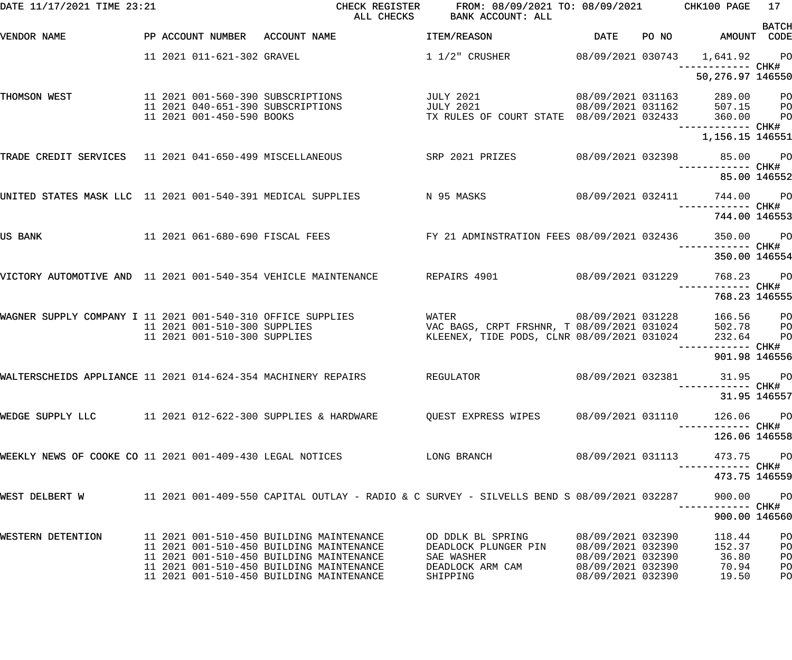| DATE 11/17/2021 TIME 23:21                                   |  |                            | CHECK REGISTER FROM: 08/09/2021 TO: 08/09/2021 CHK100 PAGE                                                                                                        | ALL CHECKS BANK ACCOUNT: ALL                         |                                        |                               | 17           |
|--------------------------------------------------------------|--|----------------------------|-------------------------------------------------------------------------------------------------------------------------------------------------------------------|------------------------------------------------------|----------------------------------------|-------------------------------|--------------|
| VENDOR NAME                                                  |  |                            | PP ACCOUNT NUMBER ACCOUNT NAME                                                                                                                                    | ITEM/REASON                                          |                                        | DATE PO NO AMOUNT CODE        | <b>BATCH</b> |
|                                                              |  | 11 2021 011-621-302 GRAVEL |                                                                                                                                                                   | 1 1/2" CRUSHER                                       |                                        | 08/09/2021 030743 1,641.92 PO |              |
|                                                              |  |                            |                                                                                                                                                                   |                                                      |                                        | 50,276.97 146550              |              |
| THOMSON WEST                                                 |  | 11 2021 001-450-590 BOOKS  | 11 2021 001-560-390 SUBSCRIPTIONS                JULY 2021                   08/09/2021 031163       289.00     PO<br>11 2021 040-651-390 SUBSCRIPTIONS JULY 2021 | TX RULES OF COURT STATE 08/09/2021 032433 360.00 PO  |                                        | 08/09/2021 031162 507.15 PO   |              |
|                                                              |  |                            |                                                                                                                                                                   |                                                      |                                        | 1,156.15 146551               |              |
|                                                              |  |                            | TRADE CREDIT SERVICES 11 2021 041-650-499 MISCELLANEOUS 68 SRP 2021 PRIZES 68/09/2021 032398 65.00 PO                                                             |                                                      |                                        | ------------ CHK#             |              |
|                                                              |  |                            |                                                                                                                                                                   |                                                      |                                        | 85.00 146552                  |              |
|                                                              |  |                            | UNITED STATES MASK LLC 11 2021 001-540-391 MEDICAL SUPPLIES N 95 MASKS N 95 MASKS 208/09/2021 032411                                                              |                                                      |                                        | 744.00 PO                     |              |
|                                                              |  |                            |                                                                                                                                                                   |                                                      |                                        | 744.00 146553                 |              |
| US BANK                                                      |  |                            | 11 2021 061-680-690 FISCAL FEES                                                                                                                                   | FY 21 ADMINSTRATION FEES 08/09/2021 032436           |                                        | 350.00 PO                     |              |
|                                                              |  |                            |                                                                                                                                                                   |                                                      |                                        | 350.00 146554                 |              |
|                                                              |  |                            | VICTORY AUTOMOTIVE AND 11 2021 001-540-354 VEHICLE MAINTENANCE REPAIRS 4901 08/09/2021 031229                                                                     |                                                      |                                        | 768.23 PO                     |              |
|                                                              |  |                            |                                                                                                                                                                   |                                                      |                                        | 768.23 146555                 |              |
|                                                              |  |                            | WAGNER SUPPLY COMPANY I 11 2021 001-540-310 OFFICE SUPPLIES WATER WATER 08/09/2021 031228<br>11 2021 001-510-300 SUPPLIES                                         | VAC BAGS, CRPT FRSHNR, T 08/09/2021 031024 502.78 PO |                                        | 166.56 PO                     |              |
|                                                              |  |                            | 11 2021 001-510-300 SUPPLIES                                                                                                                                      | KLEENEX, TIDE PODS, CLNR 08/09/2021 031024           |                                        | 232.64 PO                     |              |
|                                                              |  |                            |                                                                                                                                                                   |                                                      |                                        | 901.98 146556                 |              |
|                                                              |  |                            | WALTERSCHEIDS APPLIANCE 11 2021 014-624-354 MACHINERY REPAIRS                                                                                                     | REGULATOR                                            | 08/09/2021 032381                      | 31.95 PO<br>-------- CHK#     |              |
|                                                              |  |                            |                                                                                                                                                                   |                                                      |                                        |                               | 31.95 146557 |
| WEDGE SUPPLY LLC $11\ 2021\ 012-622-300$ SUPPLIES & HARDWARE |  |                            |                                                                                                                                                                   | OUEST EXPRESS WIPES 08/09/2021 031110                |                                        | 126.06 PO<br>----------- CHK# |              |
|                                                              |  |                            |                                                                                                                                                                   |                                                      |                                        | 126.06 146558                 |              |
| WEEKLY NEWS OF COOKE CO 11 2021 001-409-430 LEGAL NOTICES    |  |                            |                                                                                                                                                                   | LONG BRANCH                                          | 08/09/2021 031113                      | 473.75 PO<br>----------- CHK# |              |
|                                                              |  |                            |                                                                                                                                                                   |                                                      |                                        | 473.75 146559                 |              |
|                                                              |  |                            | WEST DELBERT W              11 2021 001-409-550 CAPITAL OUTLAY - RADIO & C SURVEY - SILVELLS BEND S 08/09/2021 032287                                             |                                                      |                                        | 900.00<br>----------- CHK#    | $P$ O        |
|                                                              |  |                            |                                                                                                                                                                   |                                                      |                                        | 900.00 146560                 |              |
| WESTERN DETENTION                                            |  |                            | 11 2021 001-510-450 BUILDING MAINTENANCE<br>11 2021 001-510-450 BUILDING MAINTENANCE                                                                              | OD DDLK BL SPRING<br>DEADLOCK PLUNGER PIN            | 08/09/2021 032390<br>08/09/2021 032390 | 118.44<br>152.37              | PO<br>PO     |
|                                                              |  |                            | 11 2021 001-510-450 BUILDING MAINTENANCE                                                                                                                          | SAE WASHER                                           | 08/09/2021 032390                      | 36.80                         | PO           |
|                                                              |  |                            | 11 2021 001-510-450 BUILDING MAINTENANCE<br>11 2021 001-510-450 BUILDING MAINTENANCE                                                                              | DEADLOCK ARM CAM<br>SHIPPING                         | 08/09/2021 032390<br>08/09/2021 032390 | 70.94<br>19.50                | PO<br>PO     |
|                                                              |  |                            |                                                                                                                                                                   |                                                      |                                        |                               |              |